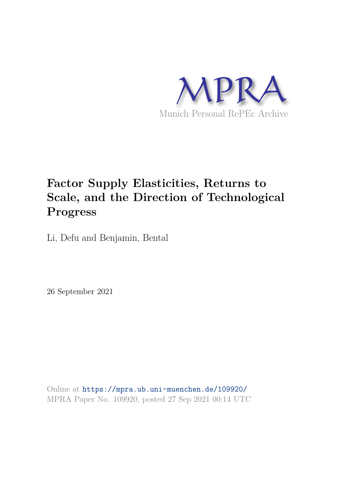

# **Factor Supply Elasticities, Returns to Scale, and the Direction of Technological Progress**

Li, Defu and Benjamin, Bental

26 September 2021

Online at https://mpra.ub.uni-muenchen.de/109920/ MPRA Paper No. 109920, posted 27 Sep 2021 00:14 UTC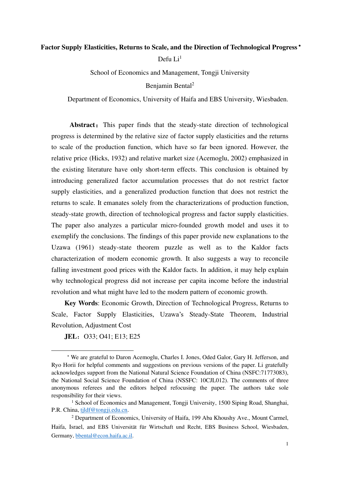# **Factor Supply Elasticities, Returns to Scale, and the Direction of Technological Progress**

Defu  $Li<sup>1</sup>$ 

School of Economics and Management, Tongji University

Benjamin Bental<sup>2</sup>

Department of Economics, University of Haifa and EBS University, Wiesbaden.

Abstract: This paper finds that the steady-state direction of technological progress is determined by the relative size of factor supply elasticities and the returns to scale of the production function, which have so far been ignored. However, the relative price (Hicks, 1932) and relative market size (Acemoglu, 2002) emphasized in the existing literature have only short-term effects. This conclusion is obtained by introducing generalized factor accumulation processes that do not restrict factor supply elasticities, and a generalized production function that does not restrict the returns to scale. It emanates solely from the characterizations of production function, steady-state growth, direction of technological progress and factor supply elasticities. The paper also analyzes a particular micro-founded growth model and uses it to exemplify the conclusions. The findings of this paper provide new explanations to the Uzawa (1961) steady-state theorem puzzle as well as to the Kaldor facts characterization of modern economic growth. It also suggests a way to reconcile falling investment good prices with the Kaldor facts. In addition, it may help explain why technological progress did not increase per capita income before the industrial revolution and what might have led to the modern pattern of economic growth.

**Key Words**: Economic Growth, Direction of Technological Progress, Returns to Scale, Factor Supply Elasticities, Uzawa's Steady-State Theorem, Industrial Revolution, Adjustment Cost

**JEL:** O33; O41; E13; E25

 We are grateful to Daron Acemoglu, Charles I. Jones, Oded Galor, Gary H. Jefferson, and [Ryo Horii](http://econ.jpn.org/horii/) for helpful comments and suggestions on previous versions of the paper. Li gratefully acknowledges support from the National Natural Science Foundation of China (NSFC:71773083), the National Social Science Foundation of China (NSSFC: 10CJL012). The comments of three anonymous referees and the editors helped refocusing the paper. The authors take sole responsibility for their views.

<sup>&</sup>lt;sup>1</sup> School of Economics and Management, Tongji University, 1500 Siping Road, Shanghai, P.R. China, [tjldf@tongji.edu.cn.](mailto:tjldf@tongji.edu.cn)

<sup>&</sup>lt;sup>2</sup> Department of Economics, University of Haifa, 199 Aba Khoushy Ave., Mount Carmel, Haifa, Israel, and EBS Universität für Wirtschaft und Recht, EBS Business School, Wiesbaden, Germany, [bbental@econ.haifa.ac.il.](mailto:bbental@econ.haifa.ac.il)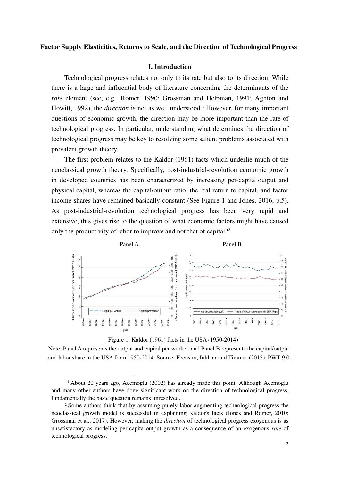# **Factor Supply Elasticities, Returns to Scale, and the Direction of Technological Progress**

## **I. Introduction**

Technological progress relates not only to its rate but also to its direction. While there is a large and influential body of literature concerning the determinants of the *rate* element (see, e.g., Romer, 1990; Grossman and Helpman, 1991; Aghion and Howitt, 1992), the *direction* is not as well understood.<sup>1</sup> However, for many important questions of economic growth, the direction may be more important than the rate of technological progress. In particular, understanding what determines the direction of technological progress may be key to resolving some salient problems associated with prevalent growth theory.

The first problem relates to the Kaldor (1961) facts which underlie much of the neoclassical growth theory. Specifically, post-industrial-revolution economic growth in developed countries has been characterized by increasing per-capita output and physical capital, whereas the capital/output ratio, the real return to capital, and factor income shares have remained basically constant (See Figure 1 and Jones, 2016, p.5). As post-industrial-revolution technological progress has been very rapid and extensive, this gives rise to the question of what economic factors might have caused only the productivity of labor to improve and not that of capital?<sup>2</sup>



Figure 1: Kaldor (1961) facts in the USA (1950-2014)

Note: Panel A represents the output and capital per worker, and Panel B represents the capital/output and labor share in the USA from 1950-2014. Source: Feenstra, Inklaar and Timmer (2015), PWT 9.0.

<sup>&</sup>lt;sup>1</sup> About 20 years ago, Acemoglu (2002) has already made this point. Although Acemoglu and many other authors have done significant work on the direction of technological progress, fundamentally the basic question remains unresolved.

<sup>2</sup> Some authors think that by assuming purely labor-augmenting technological progress the neoclassical growth model is successful in explaining Kaldor's facts (Jones and Romer, 2010; Grossman et al., 2017). However, making the *direction* of technological progress exogenous is as unsatisfactory as modeling per-capita output growth as a consequence of an exogenous *rate* of technological progress.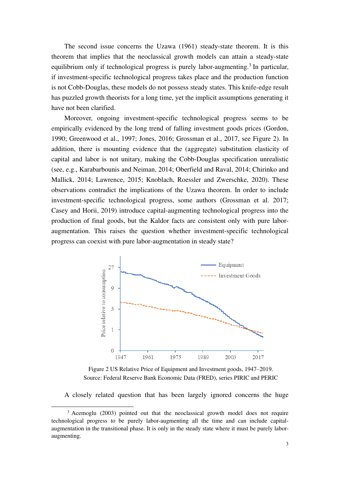The second issue concerns the Uzawa (1961) steady-state theorem. It is this theorem that implies that the neoclassical growth models can attain a steady-state equilibrium only if technological progress is purely labor-augmenting.<sup>3</sup> In particular, if investment-specific technological progress takes place and the production function is not Cobb-Douglas, these models do not possess steady states. This knife-edge result has puzzled growth theorists for a long time, yet the implicit assumptions generating it have not been clarified.

Moreover, ongoing investment-specific technological progress seems to be empirically evidenced by the long trend of falling investment goods prices (Gordon, 1990; Greenwood et al., 1997; Jones, 2016; Grossman et al., 2017, see Figure 2). In addition, there is mounting evidence that the (aggregate) substitution elasticity of capital and labor is not unitary, making the Cobb-Douglas specification unrealistic (see, e.g., Karabarbounis and Neiman, 2014; Oberfield and Raval, 2014; Chirinko and Mallick, 2014; Lawrence, 2015; Knoblach, Roessler and Zwerschke, 2020). These observations contradict the implications of the Uzawa theorem. In order to include investment-specific technological progress, some authors (Grossman et al. 2017; Casey and Horii, 2019) introduce capital-augmenting technological progress into the production of final goods, but the Kaldor facts are consistent only with pure laboraugmentation. This raises the question whether investment-specific technological progress can coexist with pure labor-augmentation in steady state?



Figure 2 US Relative Price of Equipment and Investment goods, 1947–2019. Source: Federal Reserve Bank Economic Data (FRED), series PIRIC and PERIC

A closely related question that has been largely ignored concerns the huge

<sup>&</sup>lt;sup>3</sup> Acemoglu (2003) pointed out that the neoclassical growth model does not require technological progress to be purely labor-augmenting all the time and can include capitalaugmentation in the transitional phase. It is only in the steady state where it must be purely laboraugmenting.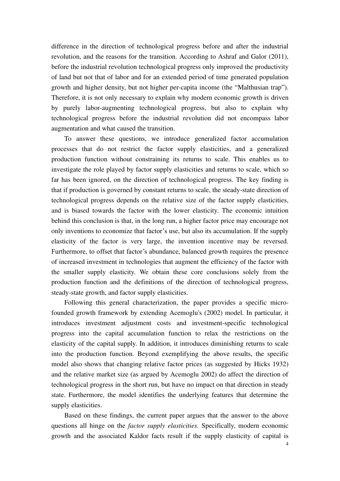difference in the direction of technological progress before and after the industrial revolution, and the reasons for the transition. According to Ashraf and Galor (2011), before the industrial revolution technological progress only improved the productivity of land but not that of labor and for an extended period of time generated population growth and higher density, but not higher per-capita income (the "Malthusian trap"). Therefore, it is not only necessary to explain why modern economic growth is driven by purely labor-augmenting technological progress, but also to explain why technological progress before the industrial revolution did not encompass labor augmentation and what caused the transition.

To answer these questions, we introduce generalized factor accumulation processes that do not restrict the factor supply elasticities, and a generalized production function without constraining its returns to scale. This enables us to investigate the role played by factor supply elasticities and returns to scale, which so far has been ignored, on the direction of technological progress. The key finding is that if production is governed by constant returns to scale, the steady-state direction of technological progress depends on the relative size of the factor supply elasticities, and is biased towards the factor with the lower elasticity. The economic intuition behind this conclusion is that, in the long run, a higher factor price may encourage not only inventions to economize that factor's use, but also its accumulation. If the supply elasticity of the factor is very large, the invention incentive may be reversed. Furthermore, to offset that factor's abundance, balanced growth requires the presence of increased investment in technologies that augment the efficiency of the factor with the smaller supply elasticity. We obtain these core conclusions solely from the production function and the definitions of the direction of technological progress, steady-state growth, and factor supply elasticities.

Following this general characterization, the paper provides a specific microfounded growth framework by extending Acemoglu's (2002) model. In particular, it introduces investment adjustment costs and investment-specific technological progress into the capital accumulation function to relax the restrictions on the elasticity of the capital supply. In addition, it introduces diminishing returns to scale into the production function. Beyond exemplifying the above results, the specific model also shows that changing relative factor prices (as suggested by Hicks 1932) and the relative market size (as argued by Acemoglu 2002) do affect the direction of technological progress in the short run, but have no impact on that direction in steady state. Furthermore, the model identifies the underlying features that determine the supply elasticities.

Based on these findings, the current paper argues that the answer to the above questions all hinge on the *factor supply elasticities.* Specifically, modern economic growth and the associated Kaldor facts result if the supply elasticity of capital is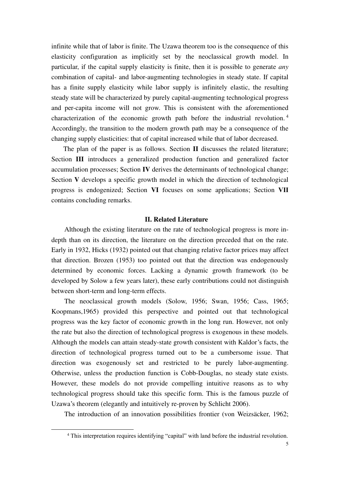infinite while that of labor is finite. The Uzawa theorem too is the consequence of this elasticity configuration as implicitly set by the neoclassical growth model. In particular, if the capital supply elasticity is finite, then it is possible to generate *any*  combination of capital- and labor-augmenting technologies in steady state. If capital has a finite supply elasticity while labor supply is infinitely elastic, the resulting steady state will be characterized by purely capital-augmenting technological progress and per-capita income will not grow. This is consistent with the aforementioned characterization of the economic growth path before the industrial revolution. <sup>4</sup> Accordingly, the transition to the modern growth path may be a consequence of the changing supply elasticities: that of capital increased while that of labor decreased.

The plan of the paper is as follows. Section **II** discusses the related literature; Section **III** introduces a generalized production function and generalized factor accumulation processes; Section **IV** derives the determinants of technological change; Section **V** develops a specific growth model in which the direction of technological progress is endogenized; Section **VI** focuses on some applications; Section **Ⅶ** contains concluding remarks.

#### **II. Related Literature**

Although the existing literature on the rate of technological progress is more indepth than on its direction, the literature on the direction preceded that on the rate. Early in 1932, Hicks (1932) pointed out that changing relative factor prices may affect that direction. Brozen (1953) too pointed out that the direction was endogenously determined by economic forces. Lacking a dynamic growth framework (to be developed by Solow a few years later), these early contributions could not distinguish between short-term and long-term effects.

The neoclassical growth models (Solow, 1956; Swan, 1956; Cass, 1965; Koopmans,1965) provided this perspective and pointed out that technological progress was the key factor of economic growth in the long run. However, not only the rate but also the direction of technological progress is exogenous in these models. Although the models can attain steady-state growth consistent with Kaldor's facts, the direction of technological progress turned out to be a cumbersome issue. That direction was exogenously set and restricted to be purely labor-augmenting. Otherwise, unless the production function is Cobb-Douglas, no steady state exists. However, these models do not provide compelling intuitive reasons as to why technological progress should take this specific form. This is the famous puzzle of Uzawa's theorem (elegantly and intuitively re-proven by Schlicht 2006).

The introduction of an innovation possibilities frontier (von Weizsäcker, 1962;

<sup>4</sup> This interpretation requires identifying "capital" with land before the industrial revolution.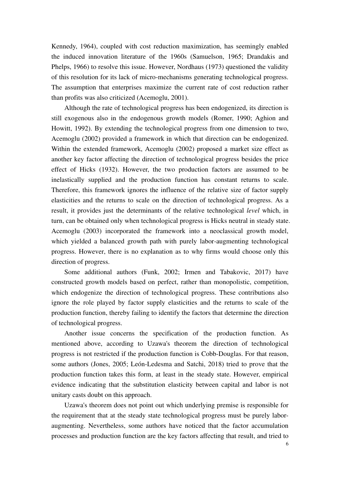Kennedy, 1964), coupled with cost reduction maximization, has seemingly enabled the induced innovation literature of the 1960s (Samuelson, 1965; Drandakis and Phelps, 1966) to resolve this issue. However, Nordhaus (1973) questioned the validity of this resolution for its lack of micro-mechanisms generating technological progress. The assumption that enterprises maximize the current rate of cost reduction rather than profits was also criticized (Acemoglu, 2001).

Although the rate of technological progress has been endogenized, its direction is still exogenous also in the endogenous growth models (Romer, 1990; Aghion and Howitt, 1992). By extending the technological progress from one dimension to two, Acemoglu (2002) provided a framework in which that direction can be endogenized. Within the extended framework, Acemoglu (2002) proposed a market size effect as another key factor affecting the direction of technological progress besides the price effect of Hicks (1932). However, the two production factors are assumed to be inelastically supplied and the production function has constant returns to scale. Therefore, this framework ignores the influence of the relative size of factor supply elasticities and the returns to scale on the direction of technological progress. As a result, it provides just the determinants of the relative technological *level* which, in turn, can be obtained only when technological progress is Hicks neutral in steady state. Acemoglu (2003) incorporated the framework into a neoclassical growth model, which yielded a balanced growth path with purely labor-augmenting technological progress. However, there is no explanation as to why firms would choose only this direction of progress.

Some additional authors (Funk, 2002; Irmen and Tabakovic, 2017) have constructed growth models based on perfect, rather than monopolistic, competition, which endogenize the direction of technological progress. These contributions also ignore the role played by factor supply elasticities and the returns to scale of the production function, thereby failing to identify the factors that determine the direction of technological progress.

Another issue concerns the specification of the production function. As mentioned above, according to Uzawa's theorem the direction of technological progress is not restricted if the production function is Cobb-Douglas. For that reason, some authors (Jones, 2005; León-Ledesma and Satchi, 2018) tried to prove that the production function takes this form, at least in the steady state. However, empirical evidence indicating that the substitution elasticity between capital and labor is not unitary casts doubt on this approach.

Uzawa's theorem does not point out which underlying premise is responsible for the requirement that at the steady state technological progress must be purely laboraugmenting. Nevertheless, some authors have noticed that the factor accumulation processes and production function are the key factors affecting that result, and tried to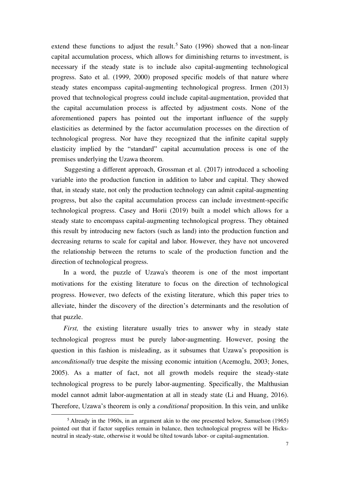extend these functions to adjust the result.<sup>5</sup> Sato (1996) showed that a non-linear capital accumulation process, which allows for diminishing returns to investment, is necessary if the steady state is to include also capital-augmenting technological progress. Sato et al. (1999, 2000) proposed specific models of that nature where steady states encompass capital-augmenting technological progress. Irmen (2013) proved that technological progress could include capital-augmentation, provided that the capital accumulation process is affected by adjustment costs. None of the aforementioned papers has pointed out the important influence of the supply elasticities as determined by the factor accumulation processes on the direction of technological progress. Nor have they recognized that the infinite capital supply elasticity implied by the "standard" capital accumulation process is one of the premises underlying the Uzawa theorem.

Suggesting a different approach, Grossman et al. (2017) introduced a schooling variable into the production function in addition to labor and capital. They showed that, in steady state, not only the production technology can admit capital-augmenting progress, but also the capital accumulation process can include investment-specific technological progress. Casey and Horii (2019) built a model which allows for a steady state to encompass capital-augmenting technological progress. They obtained this result by introducing new factors (such as land) into the production function and decreasing returns to scale for capital and labor. However, they have not uncovered the relationship between the returns to scale of the production function and the direction of technological progress.

In a word, the puzzle of Uzawa's theorem is one of the most important motivations for the existing literature to focus on the direction of technological progress. However, two defects of the existing literature, which this paper tries to alleviate, hinder the discovery of the direction's determinants and the resolution of that puzzle.

*First*, the existing literature usually tries to answer why in steady state technological progress must be purely labor-augmenting. However, posing the question in this fashion is misleading, as it subsumes that Uzawa's proposition is *unconditionally* true despite the missing economic intuition (Acemoglu, 2003; Jones, 2005). As a matter of fact, not all growth models require the steady-state technological progress to be purely labor-augmenting. Specifically, the Malthusian model cannot admit labor-augmentation at all in steady state (Li and Huang, 2016). Therefore, Uzawa's theorem is only a *conditional* proposition. In this vein, and unlike

<sup>&</sup>lt;sup>5</sup> Already in the 1960s, in an argument akin to the one presented below, Samuelson (1965) pointed out that if factor supplies remain in balance, then technological progress will be Hicksneutral in steady-state, otherwise it would be tilted towards labor- or capital-augmentation.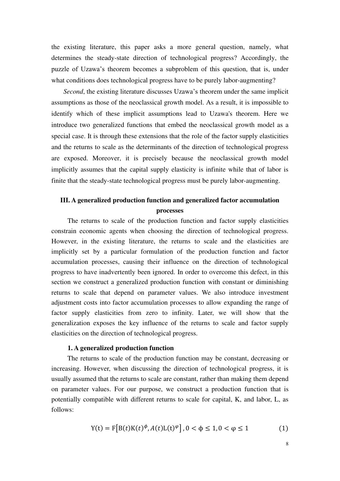the existing literature, this paper asks a more general question, namely, what determines the steady-state direction of technological progress? Accordingly, the puzzle of Uzawa's theorem becomes a subproblem of this question, that is, under what conditions does technological progress have to be purely labor-augmenting?

*Second*, the existing literature discusses Uzawa's theorem under the same implicit assumptions as those of the neoclassical growth model. As a result, it is impossible to identify which of these implicit assumptions lead to Uzawa's theorem. Here we introduce two generalized functions that embed the neoclassical growth model as a special case. It is through these extensions that the role of the factor supply elasticities and the returns to scale as the determinants of the direction of technological progress are exposed. Moreover, it is precisely because the neoclassical growth model implicitly assumes that the capital supply elasticity is infinite while that of labor is finite that the steady-state technological progress must be purely labor-augmenting.

# **III. A generalized production function and generalized factor accumulation processes**

The returns to scale of the production function and factor supply elasticities constrain economic agents when choosing the direction of technological progress. However, in the existing literature, the returns to scale and the elasticities are implicitly set by a particular formulation of the production function and factor accumulation processes, causing their influence on the direction of technological progress to have inadvertently been ignored. In order to overcome this defect, in this section we construct a generalized production function with constant or diminishing returns to scale that depend on parameter values. We also introduce investment adjustment costs into factor accumulation processes to allow expanding the range of factor supply elasticities from zero to infinity. Later, we will show that the generalization exposes the key influence of the returns to scale and factor supply elasticities on the direction of technological progress.

#### **1. A generalized production function**

The returns to scale of the production function may be constant, decreasing or increasing. However, when discussing the direction of technological progress, it is usually assumed that the returns to scale are constant, rather than making them depend on parameter values. For our purpose, we construct a production function that is potentially compatible with different returns to scale for capital, K, and labor, L, as follows:

$$
Y(t) = F[B(t)K(t)^{\phi}, A(t)L(t)^{\phi}], 0 < \phi \le 1, 0 < \phi \le 1
$$
 (1)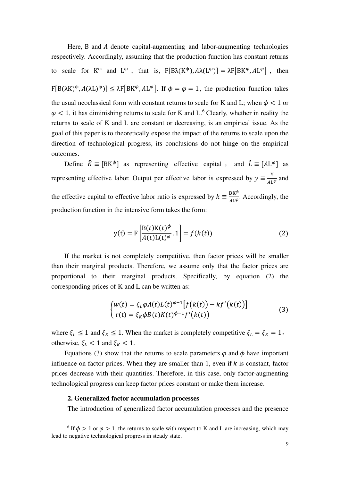Here, B and A denote capital-augmenting and labor-augmenting technologies respectively. Accordingly, assuming that the production function has constant returns to scale for  $K^{\phi}$  and  $L^{\phi}$ , that is,  $F[B\lambda(K^{\phi}), A\lambda(L^{\phi})] = \lambda F[BK^{\phi}, A L^{\phi}]$ , then  $F[B(\lambda K)^{\phi}, A(\lambda L)^{\phi}] \leq \lambda F[BK^{\phi}, AL^{\phi}]$ . If  $\phi = \phi = 1$ , the production function takes the usual neoclassical form with constant returns to scale for K and L; when  $\phi$  < 1 or  $\varphi$  < 1, it has diminishing returns to scale for K and L.<sup>6</sup> Clearly, whether in reality the returns to scale of K and L are constant or decreasing, is an empirical issue. As the goal of this paper is to theoretically expose the impact of the returns to scale upon the direction of technological progress, its conclusions do not hinge on the empirical outcomes.

Define  $\hat{K} \equiv [BK^{\phi}]$  as representing effective capital, and  $\hat{L} \equiv [AL^{\phi}]$  as representing effective labor. Output per effective labor is expressed by  $y \equiv \frac{y}{4L}$  $\frac{1}{AL^{\varphi}}$  and the effective capital to effective labor ratio is expressed by  $k = \frac{BK^{\phi}}{AL^{\phi}}$ . Accordingly, the production function in the intensive form takes the form:

$$
y(t) = F\left[\frac{B(t)K(t)^{\phi}}{A(t)L(t)^{\phi}}, 1\right] = f(k(t))\tag{2}
$$

If the market is not completely competitive, then factor prices will be smaller than their marginal products. Therefore, we assume only that the factor prices are proportional to their marginal products. Specifically, by equation (2) the corresponding prices of K and L can be written as:

$$
\begin{cases} w(t) = \xi_L \varphi A(t) L(t)^{\varphi-1} \big[ f\big(k(t)\big) - kf'(k(t)) \big] \\ r(t) = \xi_K \varphi B(t) K(t)^{\varphi-1} f'\big(k(t)\big) \end{cases} \tag{3}
$$

where  $\xi_L \le 1$  and  $\xi_K \le 1$ . When the market is completely competitive  $\xi_L = \xi_K = 1$ , otherwise,  $\xi_L < 1$  and  $\xi_R < 1$ .

Equations (3) show that the returns to scale parameters  $\varphi$  and  $\varphi$  have important influence on factor prices. When they are smaller than 1, even if  $k$  is constant, factor prices decrease with their quantities. Therefore, in this case, only factor-augmenting technological progress can keep factor prices constant or make them increase.

#### **2. Generalized factor accumulation processes**

The introduction of generalized factor accumulation processes and the presence

<sup>&</sup>lt;sup>6</sup> If  $\phi > 1$  or  $\varphi > 1$ , the returns to scale with respect to K and L are increasing, which may lead to negative technological progress in steady state.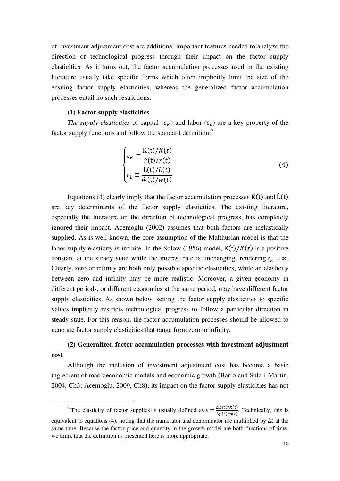of investment adjustment cost are additional important features needed to analyze the direction of technological progress through their impact on the factor supply elasticities. As it turns out, the factor accumulation processes used in the existing literature usually take specific forms which often implicitly limit the size of the ensuing factor supply elasticities, whereas the generalized factor accumulation processes entail no such restrictions.

#### **(1) Factor supply elasticities**

*The supply elasticities* of capital  $(\varepsilon_K)$  and labor  $(\varepsilon_L)$  are a key property of the factor supply functions and follow the standard definition:<sup>7</sup>

$$
\begin{cases}\n\varepsilon_K \equiv \frac{\dot{K}(t)/K(t)}{\dot{r}(t)/r(t)} \\
\varepsilon_L \equiv \frac{\dot{L}(t)/L(t)}{\dot{w}(t)/w(t)}\n\end{cases} (4)
$$

Equations (4) clearly imply that the factor accumulation processes  $\dot{K}(t)$  and  $\dot{L}(t)$ are key determinants of the factor supply elasticities. The existing literature, especially the literature on the direction of technological progress, has completely ignored their impact. Acemoglu (2002) assumes that both factors are inelastically supplied. As is well known, the core assumption of the Malthusian model is that the labor supply elasticity is infinite. In the Solow (1956) model,  $\dot{K}(t)/K(t)$  is a positive constant at the steady state while the interest rate is unchanging, rendering  $\varepsilon_K = \infty$ . Clearly, zero or infinity are both only possible specific elasticities, while an elasticity between zero and infinity may be more realistic. Moreover, a given economy in different periods, or different economies at the same period, may have different factor supply elasticities. As shown below, setting the factor supply elasticities to specific values implicitly restricts technological progress to follow a particular direction in steady state. For this reason, the factor accumulation processes should be allowed to generate factor supply elasticities that range from zero to infinity.

# **(2) Generalized factor accumulation processes with investment adjustment cost**

Although the inclusion of investment adjustment cost has become a basic ingredient of macroeconomic models and economic growth (Barro and Sala-i-Martin, 2004, Ch3; Acemoglu, 2009, Ch8), its impact on the factor supply elasticities has not

<sup>&</sup>lt;sup>7</sup> The elasticity of factor supplies is usually defined as  $\varepsilon = \frac{\Delta X(t)/X(t)}{\Delta n(t)/n(t)}$  $\frac{\Delta A(t)/A(t)}{\Delta p(t)/p(t)}$ . Technically, this is equivalent to equations (4), noting that the numerator and denominator are multiplied by  $\Delta t$  at the same time. Because the factor price and quantity in the growth model are both functions of time, we think that the definition as presented here is more appropriate.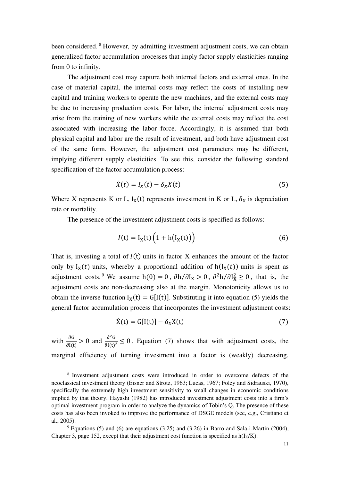been considered.<sup>8</sup> However, by admitting investment adjustment costs, we can obtain generalized factor accumulation processes that imply factor supply elasticities ranging from 0 to infinity.

The adjustment cost may capture both internal factors and external ones. In the case of material capital, the internal costs may reflect the costs of installing new capital and training workers to operate the new machines, and the external costs may be due to increasing production costs. For labor, the internal adjustment costs may arise from the training of new workers while the external costs may reflect the cost associated with increasing the labor force. Accordingly, it is assumed that both physical capital and labor are the result of investment, and both have adjustment cost of the same form. However, the adjustment cost parameters may be different, implying different supply elasticities. To see this, consider the following standard specification of the factor accumulation process:

$$
\dot{X}(t) = I_X(t) - \delta_X X(t) \tag{5}
$$

Where X represents K or L,  $I_X(t)$  represents investment in K or L,  $\delta_X$  is depreciation rate or mortality.

The presence of the investment adjustment costs is specified as follows:

$$
I(t) = IX(t) \left( 1 + h(IX(t)) \right)
$$
 (6)

That is, investing a total of  $I(t)$  units in factor X enhances the amount of the factor only by  $I_X(t)$  units, whereby a proportional addition of  $h(I_X(t))$  units is spent as adjustment costs.<sup>9</sup> We assume h(0) = 0,  $\partial h / \partial I_X > 0$ ,  $\partial^2 h / \partial I_X^2 \ge 0$ , that is, the adjustment costs are non-decreasing also at the margin. Monotonicity allows us to obtain the inverse function  $I_X(t) = G[I(t)]$ . Substituting it into equation (5) yields the general factor accumulation process that incorporates the investment adjustment costs:

$$
\dot{X}(t) = G[I(t)] - \delta_X X(t) \tag{7}
$$

with  $\frac{\partial G}{\partial I(t)} > 0$  and  $\frac{\partial^2 G}{\partial I(t)^2} \le 0$ . Equation (7) shows that with adjustment costs, the marginal efficiency of turning investment into a factor is (weakly) decreasing.

<sup>8</sup> Investment adjustment costs were introduced in order to overcome defects of the neoclassical investment theory (Eisner and Strotz, 1963; Lucas, 1967; Foley and Sidrauski, 1970), specifically the extremely high investment sensitivity to small changes in economic conditions implied by that theory. Hayashi (1982) has introduced investment adjustment costs into a firm's optimal investment program in order to analyze the dynamics of Tobin's Q. The presence of these costs has also been invoked to improve the performance of DSGE models (see, e.g., Cristiano et al., 2005).

 $9$  Equations (5) and (6) are equations (3.25) and (3.26) in Barro and Sala-i-Martin (2004), Chapter 3, page 152, except that their adjustment cost function is specified as  $h(I_K/K)$ .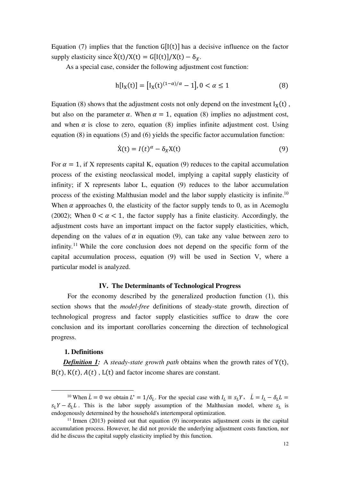Equation (7) implies that the function  $G[I(t)]$  has a decisive influence on the factor supply elasticity since  $\dot{X}(t)/X(t) = G[I(t)]/X(t) - \delta_X$ .

As a special case, consider the following adjustment cost function:

$$
h[I_X(t)] = [I_X(t)^{(1-\alpha)/\alpha} - 1], 0 < \alpha \le 1
$$
\n(8)

Equation (8) shows that the adjustment costs not only depend on the investment  $I_X(t)$ , but also on the parameter  $\alpha$ . When  $\alpha = 1$ , equation (8) implies no adjustment cost, and when  $\alpha$  is close to zero, equation (8) implies infinite adjustment cost. Using equation (8) in equations (5) and (6) yields the specific factor accumulation function:

$$
\dot{X}(t) = I(t)^{\alpha} - \delta_X X(t) \tag{9}
$$

For  $\alpha = 1$ , if X represents capital K, equation (9) reduces to the capital accumulation process of the existing neoclassical model, implying a capital supply elasticity of infinity; if X represents labor L, equation (9) reduces to the labor accumulation process of the existing Malthusian model and the labor supply elasticity is infinite.<sup>10</sup> When  $\alpha$  approaches 0, the elasticity of the factor supply tends to 0, as in Acemoglu (2002); When  $0 < \alpha < 1$ , the factor supply has a finite elasticity. Accordingly, the adjustment costs have an important impact on the factor supply elasticities, which, depending on the values of  $\alpha$  in equation (9), can take any value between zero to infinity.<sup>11</sup> While the core conclusion does not depend on the specific form of the capital accumulation process, equation (9) will be used in Section Ⅴ, where a particular model is analyzed.

# **IV. The Determinants of Technological Progress**

For the economy described by the generalized production function (1), this section shows that the *model-free* definitions of steady-state growth, direction of technological progress and factor supply elasticities suffice to draw the core conclusion and its important corollaries concerning the direction of technological progress.

# **1. Definitions**

*Definition 1:* A *steady-state growth path* obtains when the growth rates of Y(t),  $B(t)$ ,  $K(t)$ ,  $A(t)$ ,  $L(t)$  and factor income shares are constant.

<sup>&</sup>lt;sup>10</sup> When  $\dot{L} = 0$  we obtain  $L^* = 1/\delta_L$ . For the special case with  $I_L \equiv s_L Y$ ,  $\dot{L} = I_L - \delta_L L =$  $s_L Y - \delta_L L$ . This is the labor supply assumption of the Malthusian model, where  $s_L$  is endogenously determined by the household's intertemporal optimization.

 $11$  Irmen (2013) pointed out that equation (9) incorporates adjustment costs in the capital accumulation process. However, he did not provide the underlying adjustment costs function, nor did he discuss the capital supply elasticity implied by this function.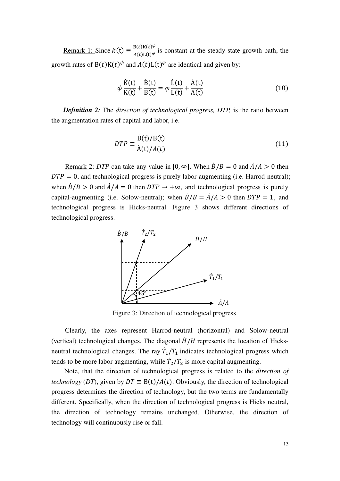<u>Remark 1:</u> Since  $k(t) \equiv \frac{B(t)K(t)^{\phi}}{A(t)L(t)^{\phi}}$  $\frac{B(t)R(t)^{2}}{A(t)L(t)^{\varphi}}$  is constant at the steady-state growth path, the growth rates of  $B(t)K(t)^{\varphi}$  and  $A(t)L(t)^{\varphi}$  are identical and given by:

$$
\phi \frac{\dot{K}(t)}{K(t)} + \frac{\dot{B}(t)}{B(t)} = \varphi \frac{\dot{L}(t)}{L(t)} + \frac{\dot{A}(t)}{A(t)}
$$
\n(10)

*Definition 2:* The *direction of technological progress, DTP,* is the ratio between the augmentation rates of capital and labor, i.e.

$$
DTP \equiv \frac{\dot{B}(t)/B(t)}{\dot{A}(t)/A(t)}
$$
(11)

Remark 2: *DTP* can take any value in  $[0, \infty]$ . When  $\dot{B}/B = 0$  and  $\dot{A}/A > 0$  then  $DTP = 0$ , and technological progress is purely labor-augmenting (i.e. Harrod-neutral); when  $\dot{B}/B > 0$  and  $\dot{A}/A = 0$  then  $DTP \rightarrow +\infty$ , and technological progress is purely capital-augmenting (i.e. Solow-neutral); when  $\dot{B}/B = \dot{A}/A > 0$  then  $DTP = 1$ , and technological progress is Hicks-neutral. Figure 3 shows different directions of technological progress.



Figure 3: Direction of technological progress

Clearly, the axes represent Harrod-neutral (horizontal) and Solow-neutral (vertical) technological changes. The diagonal  $H/H$  represents the location of Hicksneutral technological changes. The ray  $T_1/T_1$  indicates technological progress which tends to be more labor augmenting, while  $\dot{T}_2/T_2$  is more capital augmenting.

Note, that the direction of technological progress is related to the *direction of technology* (*DT*), given by  $DT \equiv B(t)/A(t)$ . Obviously, the direction of technological progress determines the direction of technology, but the two terms are fundamentally different. Specifically, when the direction of technological progress is Hicks neutral, the direction of technology remains unchanged. Otherwise, the direction of technology will continuously rise or fall.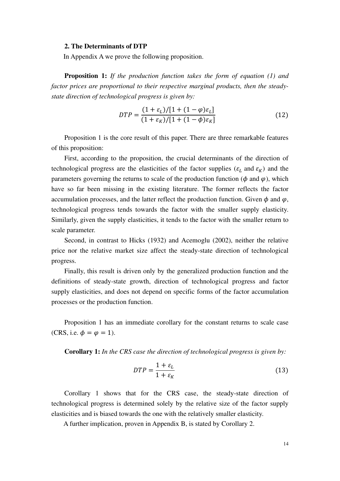#### **2. The Determinants of DTP**

In Appendix A we prove the following proposition.

**Proposition 1:** *If the production function takes the form of equation (1) and factor prices are proportional to their respective marginal products, then the steadystate direction of technological progress is given by:* 

$$
DTP = \frac{(1 + \varepsilon_L)/[1 + (1 - \varphi)\varepsilon_L]}{(1 + \varepsilon_K)/[1 + (1 - \varphi)\varepsilon_K]}
$$
(12)

Proposition 1 is the core result of this paper. There are three remarkable features of this proposition:

First, according to the proposition, the crucial determinants of the direction of technological progress are the elasticities of the factor supplies ( $\varepsilon_L$  and  $\varepsilon_K$ ) and the parameters governing the returns to scale of the production function ( $\phi$  and  $\varphi$ ), which have so far been missing in the existing literature. The former reflects the factor accumulation processes, and the latter reflect the production function. Given  $\phi$  and  $\varphi$ , technological progress tends towards the factor with the smaller supply elasticity. Similarly, given the supply elasticities, it tends to the factor with the smaller return to scale parameter.

Second, in contrast to Hicks (1932) and Acemoglu (2002), neither the relative price nor the relative market size affect the steady-state direction of technological progress.

Finally, this result is driven only by the generalized production function and the definitions of steady-state growth, direction of technological progress and factor supply elasticities, and does not depend on specific forms of the factor accumulation processes or the production function.

Proposition 1 has an immediate corollary for the constant returns to scale case (CRS, i.e.  $\phi = \varphi = 1$ ).

**Corollary 1:** *In the CRS case the direction of technological progress is given by:*

$$
DTP = \frac{1 + \varepsilon_L}{1 + \varepsilon_K} \tag{13}
$$

Corollary 1 shows that for the CRS case, the steady-state direction of technological progress is determined solely by the relative size of the factor supply elasticities and is biased towards the one with the relatively smaller elasticity.

A further implication, proven in Appendix B, is stated by Corollary 2.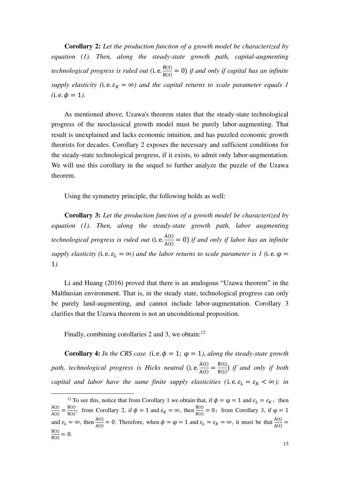**Corollary 2:** *Let the production function of a growth model be characterized by equation (1). Then, along the steady-state growth path, capital-augmenting technological progress is ruled out* (i. e.  $\frac{B(t)}{B(t)} = 0$ ) *if and only if capital has an infinite supply elasticity* (i.e.  $\varepsilon_K = \infty$ ) and the capital returns to scale parameter equals 1  $(i.e.  $\phi = 1$ ).$ 

As mentioned above, Uzawa's theorem states that the steady-state technological progress of the neoclassical growth model must be purely labor-augmenting. That result is unexplained and lacks economic intuition, and has puzzled economic growth theorists for decades. Corollary 2 exposes the necessary and sufficient conditions for the steady-state technological progress, if it exists, to admit only labor-augmentation. We will use this corollary in the sequel to further analyze the puzzle of the Uzawa theorem.

Using the symmetry principle, the following holds as well:

**Corollary 3:** *Let the production function of a growth model be characterized by equation (1). Then, along the steady-state growth path, labor augmenting technological progress is ruled out* (i. e.  $\frac{A(t)}{A(t)} = 0$ ) *if and only if labor has an infinite supply elasticity (i.e.*  $\varepsilon_L = \infty$ ) and the labor returns to scale parameter is 1 (i.e.  $\varphi$  = 1*).*

Li and Huang (2016) proved that there is an analogous "Uzawa theorem" in the Malthusian environment. That is, in the steady state, technological progress can only be purely land-augmenting, and cannot include labor-augmentation. Corollary 3 clarifies that the Uzawa theorem is not an unconditional proposition.

Finally, combining corollaries 2 and 3, we obtain: $12$ 

**Corollary 4:** *In the CRS case* (i.e.  $\phi = 1$ ;  $\phi = 1$ ), *along the steady-state growth* path, technological progress is Hicks neutral (i.e.  $\frac{A(t)}{A(t)} = \frac{B(t)}{B(t)}$  $\frac{B(t)}{B(t)}$  *if and only if both capital and labor have the same finite supply elasticities (i.e.*  $\varepsilon_L = \varepsilon_K < \infty$ ); in

<sup>&</sup>lt;sup>12</sup> To see this, notice that from Corollary 1 we obtain that, if  $\phi = \varphi = 1$  and  $\varepsilon_L = \varepsilon_K$ , then  $\dot{A}(t)$  $\frac{A(t)}{A(t)} = \frac{B(t)}{B(t)}$ ; from Corollary 2, if  $\phi = 1$  and  $\varepsilon_K = \infty$ , then  $\frac{B(t)}{B(t)} = 0$ ; from Corollary 3, if  $\phi = 1$ and  $\varepsilon_L = \infty$ , then  $\frac{A(t)}{A(t)} = 0$ . Therefore, when  $\phi = \phi = 1$  and  $\varepsilon_L = \varepsilon_R = \infty$ , it must be that  $\frac{A(t)}{A(t)} =$  $\dot{B}(t)$  $\frac{B(t)}{B(t)} = 0.$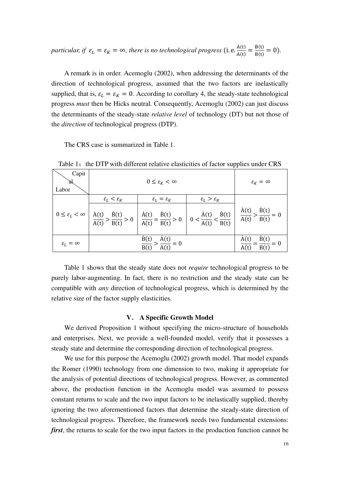*particular, if*  $\varepsilon_L = \varepsilon_K = \infty$ *, there is no technological progress* (i.e.  $\frac{A(t)}{A(t)} = \frac{B(t)}{B(t)}$  $\frac{B(t)}{B(t)} = 0$ .

A remark is in order. Acemoglu (2002), when addressing the determinants of the direction of technological progress, assumed that the two factors are inelastically supplied, that is,  $\varepsilon_L = \varepsilon_K = 0$ . According to corollary 4, the steady-state technological progress *must* then be Hicks neutral. Consequently, Acemoglu (2002) can just discuss the determinants of the steady-state *relative level* of technology (DT) but not those of the *direction* of technological progress (DTP).

The CRS case is summarized in Table 1.

| Capit<br>Labor               |                                 | $0 \leq \varepsilon_K < \infty$                         |                                 | $\varepsilon_K = \infty$                                                                                                                                                                                                        |
|------------------------------|---------------------------------|---------------------------------------------------------|---------------------------------|---------------------------------------------------------------------------------------------------------------------------------------------------------------------------------------------------------------------------------|
| $0\leq \varepsilon_L<\infty$ | $\varepsilon_L < \varepsilon_K$ | $\varepsilon_L = \varepsilon_K$                         | $\varepsilon_L > \varepsilon_K$ | $\frac{\dot{A}(t)}{A(t)} > \frac{\dot{B}(t)}{B(t)} > 0$ $\frac{\dot{A}(t)}{A(t)} = \frac{\dot{B}(t)}{B(t)} > 0$ $0 < \frac{\dot{A}(t)}{A(t)} < \frac{\dot{B}(t)}{B(t)}$ $\frac{\dot{A}(t)}{A(t)} > \frac{\dot{B}(t)}{B(t)} = 0$ |
| $\varepsilon_L=\infty$       |                                 | $\frac{\dot{B}(t)}{B(t)} > \frac{\dot{A}(t)}{A(t)} = 0$ |                                 | $\frac{d}{dx} = \frac{1}{B(t)}$<br>$\frac{d}{dx} = 0$                                                                                                                                                                           |

Table 1: the DTP with different relative elasticities of factor supplies under CRS

Table 1 shows that the steady state does not *require* technological progress to be purely labor-augmenting. In fact, there is no restriction and the steady state can be compatible with *any* direction of technological progress, which is determined by the relative size of the factor supply elasticities.

#### **V**. **A Specific Growth Model**

We derived Proposition 1 without specifying the micro-structure of households and enterprises. Next, we provide a well-founded model, verify that it possesses a steady state and determine the corresponding direction of technological progress.

We use for this purpose the Acemoglu (2002) growth model. That model expands the Romer (1990) technology from one dimension to two, making it appropriate for the analysis of potential directions of technological progress. However, as commented above, the production function in the Acemoglu model was assumed to possess constant returns to scale and the two input factors to be inelastically supplied, thereby ignoring the two aforementioned factors that determine the steady-state direction of technological progress. Therefore, the framework needs two fundamental extensions: *first*, the returns to scale for the two input factors in the production function cannot be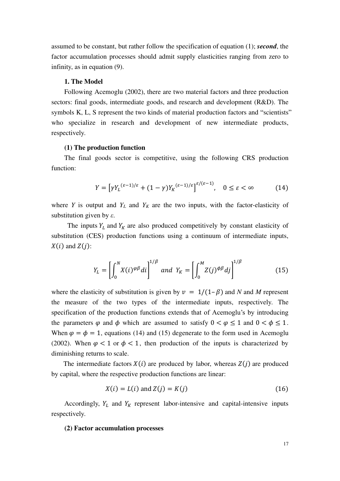assumed to be constant, but rather follow the specification of equation (1); *second*, the factor accumulation processes should admit supply elasticities ranging from zero to infinity, as in equation (9).

## **1. The Model**

Following Acemoglu (2002), there are two material factors and three production sectors: final goods, intermediate goods, and research and development (R&D). The symbols K, L, S represent the two kinds of material production factors and "scientists" who specialize in research and development of new intermediate products, respectively.

## **(1) The production function**

The final goods sector is competitive, using the following CRS production function:

$$
Y = \left[ \gamma Y_L^{(\varepsilon - 1)/\varepsilon} + (1 - \gamma) Y_K^{(\varepsilon - 1)/\varepsilon} \right]^{\varepsilon/(\varepsilon - 1)}, \quad 0 \le \varepsilon < \infty \tag{14}
$$

where *Y* is output and  $Y_L$  and  $Y_K$  are the two inputs, with the factor-elasticity of substitution given by *ε*.

The inputs  $Y_L$  and  $Y_K$  are also produced competitively by constant elasticity of substitution (CES) production functions using a continuum of intermediate inputs,  $X(i)$  and  $Z(j)$ :

$$
Y_L = \left[\int_0^N X(i)^{\varphi\beta} di\right]^{1/\beta} \text{ and } Y_K = \left[\int_0^M Z(j)^{\varphi\beta} dj\right]^{1/\beta} \tag{15}
$$

where the elasticity of substitution is given by  $v = 1/(1-\beta)$  and *N* and *M* represent the measure of the two types of the intermediate inputs, respectively. The specification of the production functions extends that of Acemoglu's by introducing the parameters  $\varphi$  and  $\varphi$  which are assumed to satisfy  $0 < \varphi \le 1$  and  $0 < \varphi \le 1$ . When  $\varphi = \varphi = 1$ , equations (14) and (15) degenerate to the form used in Acemoglu (2002). When  $\varphi$  < 1 or  $\varphi$  < 1, then production of the inputs is characterized by diminishing returns to scale.

The intermediate factors  $X(i)$  are produced by labor, whereas  $Z(i)$  are produced by capital, where the respective production functions are linear:

$$
X(i) = L(i) \text{ and } Z(j) = K(j) \tag{16}
$$

Accordingly,  $Y_L$  and  $Y_K$  represent labor-intensive and capital-intensive inputs respectively.

#### **(2) Factor accumulation processes**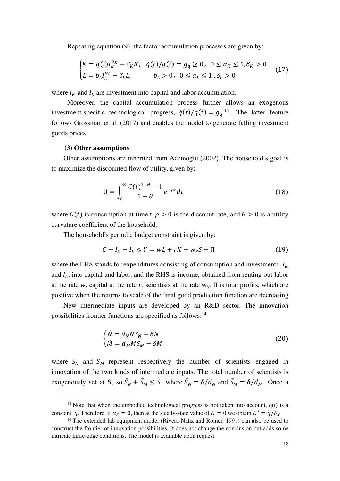Repeating equation (9), the factor accumulation processes are given by:

$$
\begin{cases}\n\dot{K} = q(t)I_K^{\alpha_K} - \delta_K K, & \dot{q}(t)/q(t) = g_q \ge 0, \ 0 \le \alpha_K \le 1, \delta_K > 0 \\
\dot{L} = b_L I_L^{\alpha_L} - \delta_L L, & b_L > 0, \ 0 \le \alpha_L \le 1, \delta_L > 0\n\end{cases} \tag{17}
$$

where  $I_K$  and  $I_L$  are investment into capital and labor accumulation.

Moreover, the capital accumulation process further allows an exogenous investment-specific technological progress,  $\dot{q}(t)/q(t) = g_q^{13}$ . The latter feature follows Grossman et al. (2017) and enables the model to generate falling investment goods prices.

### **(3) Other assumptions**

Other assumptions are inherited from Acemoglu (2002). The household's goal is to maximize the discounted flow of utility, given by:

$$
U = \int_0^\infty \frac{C(t)^{1-\theta} - 1}{1-\theta} e^{-\rho t} dt \tag{18}
$$

where  $C(t)$  is consumption at time t,  $\rho > 0$  is the discount rate, and  $\theta > 0$  is a utility curvature coefficient of the household.

The household's periodic budget constraint is given by:

$$
C + IK + IL \le Y = wL + rK + wSS + \Pi
$$
\n(19)

where the LHS stands for expenditures consisting of consumption and investments,  $I_K$ and  $I_L$ , into capital and labor, and the RHS is income, obtained from renting out labor at the rate w, capital at the rate r, scientists at the rate  $w_s$ .  $\Pi$  is total profits, which are positive when the returns to scale of the final good production function are decreasing.

New intermediate inputs are developed by an R&D sector. The innovation possibilities frontier functions are specified as follows:<sup>14</sup>

$$
\begin{cases}\n\dot{N} = d_N N S_N - \delta N \\
\dot{M} = d_M M S_M - \delta M\n\end{cases}
$$
\n(20)

where  $S_N$  and  $S_M$  represent respectively the number of scientists engaged in innovation of the two kinds of intermediate inputs. The total number of scientists is exogenously set at S, so  $\bar{S}_N + \bar{S}_M \leq S$ , where  $\bar{S}_N = \delta / d_N$  and  $\bar{S}_M = \delta / d_M$ . Once a

<sup>&</sup>lt;sup>13</sup> Note that when the embodied technological progress is not taken into account,  $q(t)$  is a constant,  $\bar{q}$ . Therefore, if  $\alpha_K = 0$ , then at the steady-state value of  $\bar{K} = 0$  we obtain  $K^* = \bar{q}/\delta_K$ .

<sup>&</sup>lt;sup>14</sup> The extended lab equipment model (Rivera-Natiz and Romer, 1991) can also be used to construct the frontier of innovation possibilities. It does not change the conclusion but adds some intricate knife-edge conditions. The model is available upon request.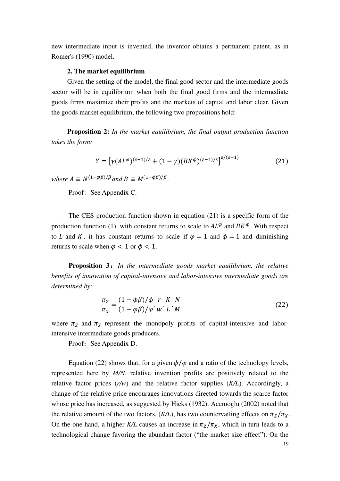new intermediate input is invented, the inventor obtains a permanent patent, as in Romer's (1990) model.

### **2. The market equilibrium**

Given the setting of the model, the final good sector and the intermediate goods sector will be in equilibrium when both the final good firms and the intermediate goods firms maximize their profits and the markets of capital and labor clear. Given the goods market equilibrium, the following two propositions hold:

**Proposition 2:** *In the market equilibrium, the final output production function takes the form:* 

$$
Y = \left[ \gamma (AL^{\varphi})^{(\varepsilon - 1)/\varepsilon} + (1 - \gamma) (BK^{\varphi})^{(\varepsilon - 1)/\varepsilon} \right]^{\varepsilon/(\varepsilon - 1)}
$$
(21)

*where*  $A \equiv N^{(1-\varphi\beta)/\beta}$  *and*  $B \equiv M^{(1-\varphi\beta)/\beta}$ .

Proof: See Appendix C.

The CES production function shown in equation (21) is a specific form of the production function (1), with constant returns to scale to  $AL^{\varphi}$  and  $BK^{\varphi}$ . With respect to L and K, it has constant returns to scale if  $\varphi = 1$  and  $\varphi = 1$  and diminishing returns to scale when  $\varphi < 1$  or  $\varphi < 1$ .

**Proposition 3**:*In the intermediate goods market equilibrium, the relative benefits of innovation of capital-intensive and labor-intensive intermediate goods are determined by:*

$$
\frac{\pi_Z}{\pi_X} = \frac{(1 - \phi \beta)/\phi}{(1 - \phi \beta)/\phi} \cdot \frac{r}{w} \cdot \frac{K}{L} \cdot \frac{N}{M}
$$
(22)

where  $\pi_Z$  and  $\pi_X$  represent the monopoly profits of capital-intensive and laborintensive intermediate goods producers.

Proof: See Appendix D.

Equation (22) shows that, for a given  $\phi/\varphi$  and a ratio of the technology levels, represented here by *M/N*, relative invention profits are positively related to the relative factor prices (*r/w*) and the relative factor supplies (*K/L*). Accordingly, a change of the relative price encourages innovations directed towards the scarce factor whose price has increased, as suggested by Hicks (1932). Acemoglu (2002) noted that the relative amount of the two factors,  $(K/L)$ , has two countervailing effects on  $\pi_Z/\pi_X$ . On the one hand, a higher *K/L* causes an increase in  $\pi_Z/\pi_X$ , which in turn leads to a technological change favoring the abundant factor ("the market size effect"). On the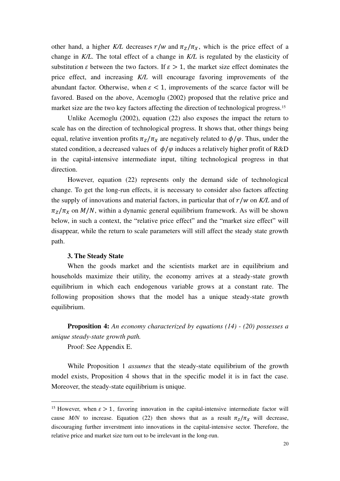other hand, a higher *K/L* decreases  $r/w$  and  $\pi_z/\pi_x$ , which is the price effect of a change in *K/L*. The total effect of a change in *K/L* is regulated by the elasticity of substitution  $\varepsilon$  between the two factors. If  $\varepsilon > 1$ , the market size effect dominates the price effect, and increasing *K/L* will encourage favoring improvements of the abundant factor. Otherwise, when  $\varepsilon < 1$ , improvements of the scarce factor will be favored. Based on the above, Acemoglu (2002) proposed that the relative price and market size are the two key factors affecting the direction of technological progress.<sup>15</sup>

Unlike Acemoglu (2002), equation (22) also exposes the impact the return to scale has on the direction of technological progress. It shows that, other things being equal, relative invention profits  $\pi_Z / \pi_X$  are negatively related to  $\phi / \varphi$ . Thus, under the stated condition, a decreased values of  $\phi/\varphi$  induces a relatively higher profit of R&D in the capital-intensive intermediate input, tilting technological progress in that direction.

However, equation (22) represents only the demand side of technological change. To get the long-run effects, it is necessary to consider also factors affecting the supply of innovations and material factors, in particular that of  $r/w$  on  $K/L$  and of  $\pi$ <sub>z</sub>/ $\pi$ <sub>x</sub> on *M*/*N*, within a dynamic general equilibrium framework. As will be shown below, in such a context, the "relative price effect" and the "market size effect" will disappear, while the return to scale parameters will still affect the steady state growth path.

#### **3. The Steady State**

When the goods market and the scientists market are in equilibrium and households maximize their utility, the economy arrives at a steady-state growth equilibrium in which each endogenous variable grows at a constant rate. The following proposition shows that the model has a unique steady-state growth equilibrium.

**Proposition 4:** *An economy characterized by equations (14) - (20) possesses a unique steady-state growth path.*

Proof: See Appendix E.

While Proposition 1 *assumes* that the steady-state equilibrium of the growth model exists, Proposition 4 shows that in the specific model it is in fact the case. Moreover, the steady-state equilibrium is unique.

<sup>&</sup>lt;sup>15</sup> However, when  $\varepsilon > 1$ , favoring innovation in the capital-intensive intermediate factor will cause *M/N* to increase. Equation (22) then shows that as a result  $\pi_Z / \pi_X$  will decrease, discouraging further inverstment into innovations in the capital-intensive sector. Therefore, the relative price and market size turn out to be irrelevant in the long-run.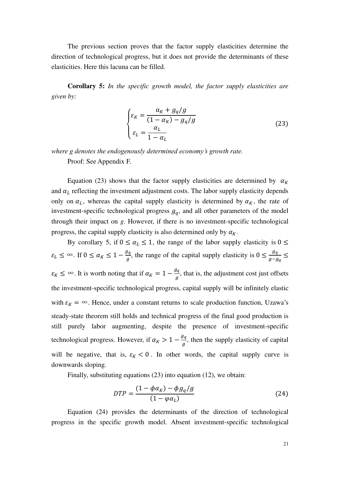The previous section proves that the factor supply elasticities determine the direction of technological progress, but it does not provide the determinants of these elasticities. Here this lacuna can be filled.

**Corollary 5:** *In the specific growth model, the factor supply elasticities are given by:*

$$
\begin{cases}\n\varepsilon_K = \frac{\alpha_K + g_q/g}{(1 - \alpha_K) - g_q/g} \\
\varepsilon_L = \frac{\alpha_L}{1 - \alpha_L}\n\end{cases}
$$
\n(23)

*where g denotes the endogenously determined economy's growth rate.*

Proof: See Appendix F.

Equation (23) shows that the factor supply elasticities are determined by  $\alpha_K$ and  $\alpha_L$  reflecting the investment adjustment costs. The labor supply elasticity depends only on  $\alpha_L$ , whereas the capital supply elasticity is determined by  $\alpha_K$ , the rate of investment-specific technological progress  $g_q$ , and all other parameters of the model through their impact on *g*. However, if there is no investment-specific technological progress, the capital supply elasticity is also determined only by  $\alpha_K$ .

By corollary 5, if  $0 \le \alpha_L \le 1$ , the range of the labor supply elasticity is  $0 \le$  $\varepsilon_L \leq \infty$ . If  $0 \leq \alpha_K \leq 1 - \frac{g_q}{g}$ , the range of the capital supply elasticity is  $0 \leq \frac{g_q}{g - g_q} \leq$  $\varepsilon_K \leq \infty$ . It is worth noting that if  $\alpha_K = 1 - \frac{g_q}{g}$ , that is, the adjustment cost just offsets the investment-specific technological progress, capital supply will be infinitely elastic with  $\varepsilon_K = \infty$ . Hence, under a constant returns to scale production function, Uzawa's steady-state theorem still holds and technical progress of the final good production is still purely labor augmenting, despite the presence of investment-specific technological progress. However, if  $\alpha_K > 1 - \frac{g_q}{g}$ , then the supply elasticity of capital will be negative, that is,  $\varepsilon_K < 0$ . In other words, the capital supply curve is downwards sloping.

Finally, substituting equations (23) into equation (12), we obtain:

$$
DTP = \frac{(1 - \phi \alpha_K) - \phi g_q / g}{(1 - \phi \alpha_L)}\tag{24}
$$

Equation (24) provides the determinants of the direction of technological progress in the specific growth model. Absent investment-specific technological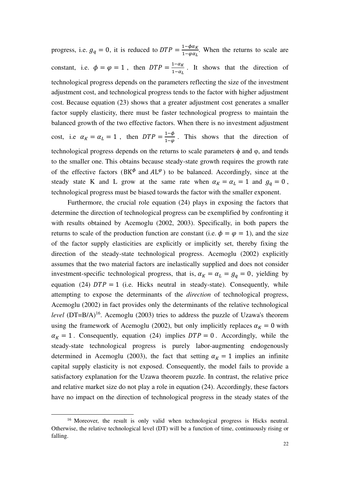progress, i.e.  $g_q = 0$ , it is reduced to  $DTP = \frac{1 - \phi \alpha_K}{1 - \phi \alpha_L}$ . When the returns to scale are constant, i.e.  $\phi = \varphi = 1$ , then  $DTP = \frac{1-\alpha_K}{1-\alpha_L}$ . It shows that the direction of technological progress depends on the parameters reflecting the size of the investment adjustment cost, and technological progress tends to the factor with higher adjustment cost. Because equation (23) shows that a greater adjustment cost generates a smaller factor supply elasticity, there must be faster technological progress to maintain the balanced growth of the two effective factors. When there is no investment adjustment cost, i.e  $\alpha_K = \alpha_L = 1$ , then  $DTP = \frac{1-\phi}{1-\phi}$ . This shows that the direction of technological progress depends on the returns to scale parameters  $\phi$  and  $\phi$ , and tends to the smaller one. This obtains because steady-state growth requires the growth rate of the effective factors (BK $\phi$  and  $AL^{\varphi}$ ) to be balanced. Accordingly, since at the steady state K and L grow at the same rate when  $\alpha_K = \alpha_L = 1$  and  $g_q = 0$ , technological progress must be biased towards the factor with the smaller exponent.

Furthermore, the crucial role equation (24) plays in exposing the factors that determine the direction of technological progress can be exemplified by confronting it with results obtained by Acemoglu (2002, 2003). Specifically, in both papers the returns to scale of the production function are constant (i.e.  $\phi = \varphi = 1$ ), and the size of the factor supply elasticities are explicitly or implicitly set, thereby fixing the direction of the steady-state technological progress. Acemoglu (2002) explicitly assumes that the two material factors are inelastically supplied and does not consider investment-specific technological progress, that is,  $\alpha_K = \alpha_L = g_q = 0$ , yielding by equation (24)  $DTP = 1$  (i.e. Hicks neutral in steady-state). Consequently, while attempting to expose the determinants of the *direction* of technological progress, Acemoglu (2002) in fact provides only the determinants of the relative technological *level*  $(DT=B/A)^{16}$ . Acemoglu (2003) tries to address the puzzle of Uzawa's theorem using the framework of Acemoglu (2002), but only implicitly replaces  $\alpha_K = 0$  with  $\alpha_K = 1$ . Consequently, equation (24) implies  $DTP = 0$ . Accordingly, while the steady-state technological progress is purely labor-augmenting endogenously determined in Acemoglu (2003), the fact that setting  $\alpha_K = 1$  implies an infinite capital supply elasticity is not exposed. Consequently, the model fails to provide a satisfactory explanation for the Uzawa theorem puzzle. In contrast, the relative price and relative market size do not play a role in equation (24). Accordingly, these factors have no impact on the direction of technological progress in the steady states of the

<sup>&</sup>lt;sup>16</sup> Moreover, the result is only valid when technological progress is Hicks neutral. Otherwise, the relative technological level (DT) will be a function of time, continuously rising or falling.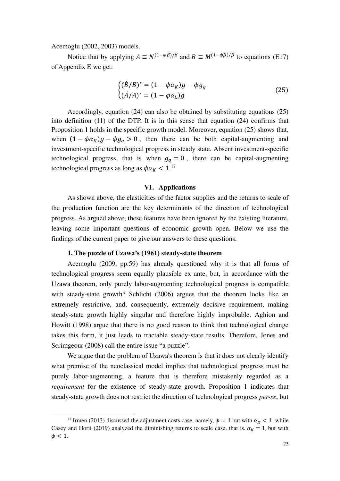Acemoglu (2002, 2003) models.

Notice that by applying  $A \equiv N^{(1-\varphi\beta)/\beta}$  and  $B \equiv M^{(1-\varphi\beta)/\beta}$  to equations (E17) of Appendix E we get:

$$
\begin{cases}\n(\dot{B}/B)^* = (1 - \phi \alpha_K)g - \phi g_q \\
(\dot{A}/A)^* = (1 - \phi \alpha_L)g\n\end{cases}
$$
\n(25)

Accordingly, equation (24) can also be obtained by substituting equations (25) into definition (11) of the DTP. It is in this sense that equation (24) confirms that Proposition 1 holds in the specific growth model. Moreover, equation (25) shows that, when  $(1 - \phi \alpha_K)g - \phi g_q > 0$ , then there can be both capital-augmenting and investment-specific technological progress in steady state. Absent investment-specific technological progress, that is when  $g_q = 0$ , there can be capital-augmenting technological progress as long as  $\phi \alpha_K < 1.^{17}$ 

# **VI**.**Applications**

As shown above, the elasticities of the factor supplies and the returns to scale of the production function are the key determinants of the direction of technological progress. As argued above, these features have been ignored by the existing literature, leaving some important questions of economic growth open. Below we use the findings of the current paper to give our answers to these questions.

### **1. The puzzle of Uzawa's (1961) steady-state theorem**

Acemoglu (2009, pp.59) has already questioned why it is that all forms of technological progress seem equally plausible ex ante, but, in accordance with the Uzawa theorem, only purely labor-augmenting technological progress is compatible with steady-state growth? Schlicht (2006) argues that the theorem looks like an extremely restrictive, and, consequently, extremely decisive requirement, making steady-state growth highly singular and therefore highly improbable. Aghion and Howitt (1998) argue that there is no good reason to think that technological change takes this form, it just leads to tractable steady-state results. Therefore, Jones and Scrimgeour (2008) call the entire issue "a puzzle".

We argue that the problem of Uzawa's theorem is that it does not clearly identify what premise of the neoclassical model implies that technological progress must be purely labor-augmenting, a feature that is therefore mistakenly regarded as a *requirement* for the existence of steady-state growth. Proposition 1 indicates that steady-state growth does not restrict the direction of technological progress *per-se*, but

<sup>&</sup>lt;sup>17</sup> Irmen (2013) discussed the adjustment costs case, namely,  $\phi = 1$  but with  $\alpha_K < 1$ , while Casey and Horii (2019) analyzed the diminishing returns to scale case, that is,  $\alpha_K = 1$ , but with  $\phi$  < 1.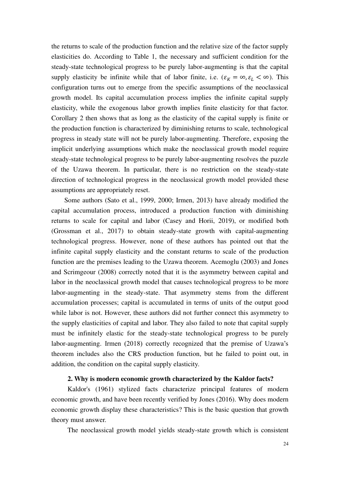the returns to scale of the production function and the relative size of the factor supply elasticities do. According to Table 1, the necessary and sufficient condition for the steady-state technological progress to be purely labor-augmenting is that the capital supply elasticity be infinite while that of labor finite, i.e.  $(\varepsilon_K = \infty, \varepsilon_L < \infty)$ . This configuration turns out to emerge from the specific assumptions of the neoclassical growth model. Its capital accumulation process implies the infinite capital supply elasticity, while the exogenous labor growth implies finite elasticity for that factor. Corollary 2 then shows that as long as the elasticity of the capital supply is finite or the production function is characterized by diminishing returns to scale, technological progress in steady state will not be purely labor-augmenting. Therefore, exposing the implicit underlying assumptions which make the neoclassical growth model require steady-state technological progress to be purely labor-augmenting resolves the puzzle of the Uzawa theorem. In particular, there is no restriction on the steady-state direction of technological progress in the neoclassical growth model provided these assumptions are appropriately reset.

Some authors (Sato et al., 1999, 2000; Irmen, 2013) have already modified the capital accumulation process, introduced a production function with diminishing returns to scale for capital and labor (Casey and Horii, 2019), or modified both (Grossman et al., 2017) to obtain steady-state growth with capital-augmenting technological progress. However, none of these authors has pointed out that the infinite capital supply elasticity and the constant returns to scale of the production function are the premises leading to the Uzawa theorem. Acemoglu (2003) and Jones and Scrimgeour (2008) correctly noted that it is the asymmetry between capital and labor in the neoclassical growth model that causes technological progress to be more labor-augmenting in the steady-state. That asymmetry stems from the different accumulation processes; capital is accumulated in terms of units of the output good while labor is not. However, these authors did not further connect this asymmetry to the supply elasticities of capital and labor. They also failed to note that capital supply must be infinitely elastic for the steady-state technological progress to be purely labor-augmenting. Irmen (2018) correctly recognized that the premise of Uzawa's theorem includes also the CRS production function, but he failed to point out, in addition, the condition on the capital supply elasticity.

## **2. Why is modern economic growth characterized by the Kaldor facts?**

Kaldor's (1961) stylized facts characterize principal features of modern economic growth, and have been recently verified by Jones (2016). Why does modern economic growth display these characteristics? This is the basic question that growth theory must answer.

The neoclassical growth model yields steady-state growth which is consistent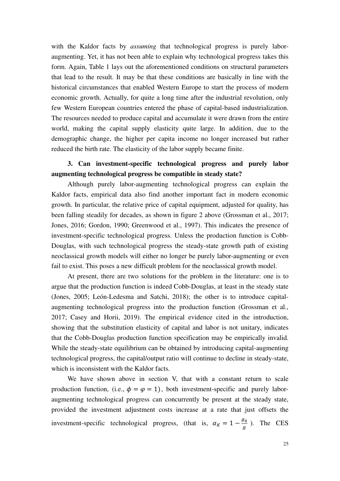with the Kaldor facts by *assuming* that technological progress is purely laboraugmenting. Yet, it has not been able to explain why technological progress takes this form. Again, Table 1 lays out the aforementioned conditions on structural parameters that lead to the result. It may be that these conditions are basically in line with the historical circumstances that enabled Western Europe to start the process of modern economic growth. Actually, for quite a long time after the industrial revolution, only few Western European countries entered the phase of capital-based industrialization. The resources needed to produce capital and accumulate it were drawn from the entire world, making the capital supply elasticity quite large. In addition, due to the demographic change, the higher per capita income no longer increased but rather reduced the birth rate. The elasticity of the labor supply became finite.

# **3. Can investment-specific technological progress and purely labor augmenting technological progress be compatible in steady state?**

Although purely labor-augmenting technological progress can explain the Kaldor facts, empirical data also find another important fact in modern economic growth. In particular, the relative price of capital equipment, adjusted for quality, has been falling steadily for decades, as shown in figure 2 above (Grossman et al., 2017; Jones, 2016; Gordon, 1990; Greenwood et al., 1997). This indicates the presence of investment-specific technological progress. Unless the production function is Cobb-Douglas, with such technological progress the steady-state growth path of existing neoclassical growth models will either no longer be purely labor-augmenting or even fail to exist. This poses a new difficult problem for the neoclassical growth model.

At present, there are two solutions for the problem in the literature: one is to argue that the production function is indeed Cobb-Douglas, at least in the steady state (Jones, 2005; León-Ledesma and Satchi, 2018); the other is to introduce capitalaugmenting technological progress into the production function (Grossman et al., 2017; Casey and Horii, 2019). The empirical evidence cited in the introduction, showing that the substitution elasticity of capital and labor is not unitary, indicates that the Cobb-Douglas production function specification may be empirically invalid. While the steady-state equilibrium can be obtained by introducing capital-augmenting technological progress, the capital/output ratio will continue to decline in steady-state, which is inconsistent with the Kaldor facts.

We have shown above in section V, that with a constant return to scale production function, (i.e.,  $\phi = \varphi = 1$ ), both investment-specific and purely laboraugmenting technological progress can concurrently be present at the steady state, provided the investment adjustment costs increase at a rate that just offsets the investment-specific technological progress, (that is,  $\alpha_K = 1 - \frac{g_q}{g}$ ). The CES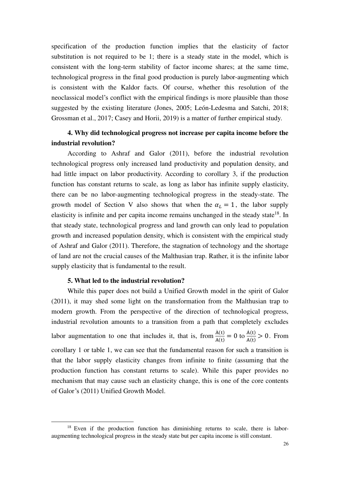specification of the production function implies that the elasticity of factor substitution is not required to be 1; there is a steady state in the model, which is consistent with the long-term stability of factor income shares; at the same time, technological progress in the final good production is purely labor-augmenting which is consistent with the Kaldor facts. Of course, whether this resolution of the neoclassical model's conflict with the empirical findings is more plausible than those suggested by the existing literature (Jones, 2005; León-Ledesma and Satchi, 2018; Grossman et al., 2017; Casey and Horii, 2019) is a matter of further empirical study.

# **4. Why did technological progress not increase per capita income before the industrial revolution?**

According to Ashraf and Galor (2011), before the industrial revolution technological progress only increased land productivity and population density, and had little impact on labor productivity. According to corollary 3, if the production function has constant returns to scale, as long as labor has infinite supply elasticity, there can be no labor-augmenting technological progress in the steady-state. The growth model of Section V also shows that when the  $\alpha_L = 1$ , the labor supply elasticity is infinite and per capita income remains unchanged in the steady state<sup>18</sup>. In that steady state, technological progress and land growth can only lead to population growth and increased population density, which is consistent with the empirical study of Ashraf and Galor (2011). Therefore, the stagnation of technology and the shortage of land are not the crucial causes of the Malthusian trap. Rather, it is the infinite labor supply elasticity that is fundamental to the result.

## **5. What led to the industrial revolution?**

While this paper does not build a Unified Growth model in the spirit of Galor (2011), it may shed some light on the transformation from the Malthusian trap to modern growth. From the perspective of the direction of technological progress, industrial revolution amounts to a transition from a path that completely excludes labor augmentation to one that includes it, that is, from  $\frac{A(t)}{A(t)} = 0$  to  $\frac{A(t)}{A(t)}$  $\frac{A(t)}{A(t)} > 0$ . From corollary 1 or table 1, we can see that the fundamental reason for such a transition is that the labor supply elasticity changes from infinite to finite (assuming that the production function has constant returns to scale). While this paper provides no mechanism that may cause such an elasticity change, this is one of the core contents of Galor's (2011) Unified Growth Model.

<sup>&</sup>lt;sup>18</sup> Even if the production function has diminishing returns to scale, there is laboraugmenting technological progress in the steady state but per capita income is still constant.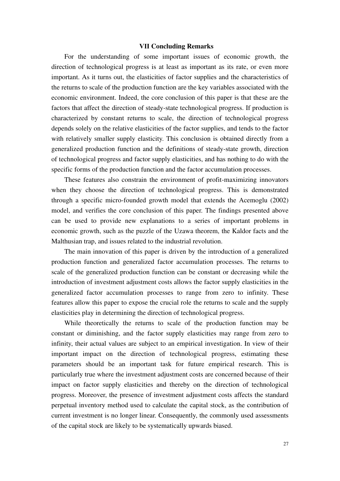### **Ⅶ Concluding Remarks**

For the understanding of some important issues of economic growth, the direction of technological progress is at least as important as its rate, or even more important. As it turns out, the elasticities of factor supplies and the characteristics of the returns to scale of the production function are the key variables associated with the economic environment. Indeed, the core conclusion of this paper is that these are the factors that affect the direction of steady-state technological progress. If production is characterized by constant returns to scale, the direction of technological progress depends solely on the relative elasticities of the factor supplies, and tends to the factor with relatively smaller supply elasticity. This conclusion is obtained directly from a generalized production function and the definitions of steady-state growth, direction of technological progress and factor supply elasticities, and has nothing to do with the specific forms of the production function and the factor accumulation processes.

These features also constrain the environment of profit-maximizing innovators when they choose the direction of technological progress. This is demonstrated through a specific micro-founded growth model that extends the Acemoglu (2002) model, and verifies the core conclusion of this paper. The findings presented above can be used to provide new explanations to a series of important problems in economic growth, such as the puzzle of the Uzawa theorem, the Kaldor facts and the Malthusian trap, and issues related to the industrial revolution.

The main innovation of this paper is driven by the introduction of a generalized production function and generalized factor accumulation processes. The returns to scale of the generalized production function can be constant or decreasing while the introduction of investment adjustment costs allows the factor supply elasticities in the generalized factor accumulation processes to range from zero to infinity. These features allow this paper to expose the crucial role the returns to scale and the supply elasticities play in determining the direction of technological progress.

While theoretically the returns to scale of the production function may be constant or diminishing, and the factor supply elasticities may range from zero to infinity, their actual values are subject to an empirical investigation. In view of their important impact on the direction of technological progress, estimating these parameters should be an important task for future empirical research. This is particularly true where the investment adjustment costs are concerned because of their impact on factor supply elasticities and thereby on the direction of technological progress. Moreover, the presence of investment adjustment costs affects the standard perpetual inventory method used to calculate the capital stock, as the contribution of current investment is no longer linear. Consequently, the commonly used assessments of the capital stock are likely to be systematically upwards biased.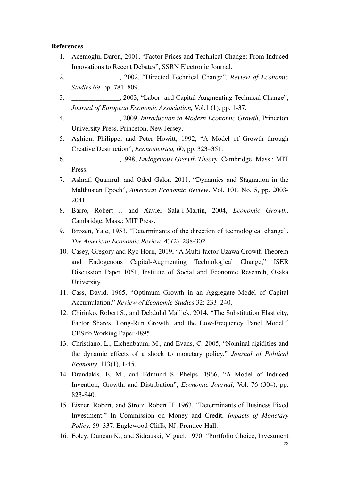## **References**

- 1. Acemoglu, Daron, 2001, "Factor Prices and Technical Change: From Induced Innovations to Recent Debates", SSRN Electronic Journal.
- 2. \_\_\_\_\_\_\_\_\_\_\_\_\_\_, 2002, "Directed Technical Change", *Review of Economic Studies* 69, pp. 781–809.
- 3. \_\_\_\_\_\_\_\_\_\_\_\_\_\_, 2003, "Labor- and Capital-Augmenting Technical Change", *Journal of European Economic Association,* Vol.1 (1), pp. 1-37.
- 4. \_\_\_\_\_\_\_\_\_\_\_\_\_\_, 2009, *Introduction to Modern Economic Growth*, Princeton University Press, Princeton, New Jersey.
- 5. Aghion, Philippe, and Peter Howitt, 1992, "A Model of Growth through Creative Destruction", *Econometrica,* 60, pp. 323–351.
- 6. \_\_\_\_\_\_\_\_\_\_\_\_\_\_,1998, *Endogenous Growth Theory.* Cambridge, Mass.: MIT Press.
- 7. Ashraf, Quamrul, and Oded Galor. 2011, "Dynamics and Stagnation in the Malthusian Epoch", *American Economic Review*. Vol. 101, No. 5, pp. 2003- 2041.
- 8. Barro, Robert J. and Xavier Sala-i-Martin, 2004, *Economic Growth*. Cambridge, Mass.: MIT Press.
- 9. Brozen, Yale, 1953, "Determinants of the direction of technological change". *The American Economic Review*, 43(2), 288-302.
- 10. Casey, Gregory and Ryo Horii, 2019, "[A Multi-factor Uzawa Growth Theorem](https://ideas.repec.org/p/dpr/wpaper/1051.html)  [and Endogenous Capital-Augmenting Technological Change](https://ideas.repec.org/p/dpr/wpaper/1051.html)," [ISER](https://ideas.repec.org/s/dpr/wpaper.html)  [Discussion Paper](https://ideas.repec.org/s/dpr/wpaper.html) 1051, Institute of Social and Economic Research, Osaka University.
- 11. Cass, David, 1965, "Optimum Growth in an Aggregate Model of Capital Accumulation." *Review of Economic Studies* 32: 233–240.
- 12. Chirinko, Robert S., and Debdulal Mallick. 2014, "The Substitution Elasticity, Factor Shares, Long-Run Growth, and the Low-Frequency Panel Model." CESifo Working Paper 4895.
- 13. Christiano, L., Eichenbaum, M., and Evans, C. 2005, "Nominal rigidities and the dynamic effects of a shock to monetary policy." *Journal of Political Economy*, 113(1), 1-45.
- 14. Drandakis, E. M., and Edmund S. Phelps, 1966, "A Model of Induced Invention, Growth, and Distribution", *Economic Journal*, Vol. 76 (304), pp. 823-840.
- 15. Eisner, Robert, and Strotz, Robert H. 1963, "Determinants of Business Fixed Investment." In Commission on Money and Credit, *Impacts of Monetary Policy,* 59–337. Englewood Cliffs, NJ: Prentice-Hall.
- 16. Foley, Duncan K., and Sidrauski, Miguel. 1970, "Portfolio Choice, Investment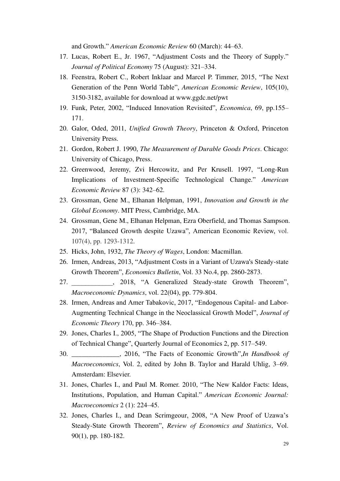and Growth." *American Economic Review* 60 (March): 44–63.

- 17. Lucas, Robert E., Jr. 1967, "Adjustment Costs and the Theory of Supply." *Journal of Political Economy* 75 (August): 321–334.
- 18. Feenstra, Robert C., Robert Inklaar and Marcel P. Timmer, 2015, "The Next Generation of the Penn World Table", *American Economic Review*, 105(10), 3150-3182, available for download at www.ggdc.net/pwt
- 19. Funk, Peter, 2002, "Induced Innovation Revisited", *Economica*, 69, pp.155– 171.
- 20. Galor, Oded, 2011, *Unified Growth Theory*, Princeton & Oxford, Princeton University Press.
- 21. Gordon, Robert J. 1990, *The Measurement of Durable Goods Prices*. Chicago: University of Chicago, Press.
- 22. Greenwood, Jeremy, Zvi Hercowitz, and Per Krusell. 1997, "Long-Run Implications of Investment-Specific Technological Change." *American Economic Review* 87 (3): 342–62.
- 23. Grossman, Gene M., Elhanan Helpman, 1991, *Innovation and Growth in the Global Economy*. MIT Press, Cambridge, MA.
- 24. Grossman, Gene M., Elhanan Helpman, Ezra Oberfield, and Thomas Sampson. 2017, "[Balanced Growth despite Uzawa](http://scholar.harvard.edu/helpman/publications/balanced-growth-despite-uzawa)", American Economic Review, vol. 107(4), pp. 1293-1312.
- 25. Hicks, John, 1932, *The Theory of Wages*, London: Macmillan.
- 26. Irmen, Andreas, 2013, "Adjustment Costs in a Variant of Uzawa's Steady-state Growth Theorem", *Economics Bulletin*, Vol. 33 No.4, pp. 2860-2873.
- 27. \_\_\_\_\_\_\_\_\_\_\_\_, 2018, "A Generalized Steady-state Growth Theorem", *Macroeconomic Dynamics*, vol. 22(04), pp. 779-804.
- 28. Irmen, Andreas and Amer Tabakovic, 2017, "Endogenous Capital- and Labor-Augmenting Technical Change in the Neoclassical Growth Model", *Journal of Economic Theory* 170, pp. 346–384.
- 29. Jones, Charles I., 2005, "The Shape of Production Functions and the Direction of Technical Change", Quarterly Journal of Economics 2, pp. 517–549.
- 30. \_\_\_\_\_\_\_\_\_\_\_\_\_\_, 2016, "The Facts of Economic Growth",*In Handbook of Macroeconomics*, Vol. 2, edited by John B. Taylor and Harald Uhlig, 3–69. Amsterdam: Elsevier.
- 31. Jones, Charles I., and Paul M. Romer. 2010, "The New Kaldor Facts: Ideas, Institutions, Population, and Human Capital." *American Economic Journal: Macroeconomics* 2 (1): 224–45.
- 32. Jones, Charles I., and Dean Scrimgeour, 2008, "A New Proof of Uzawa's Steady-State Growth Theorem", *Review of Economics and Statistics*, Vol. 90(1), pp. 180-182.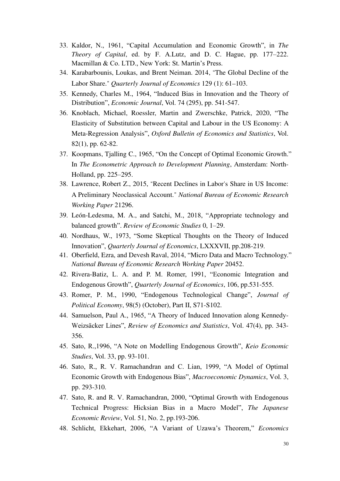- 33. Kaldor, N., 1961, "Capital Accumulation and Economic Growth", in *The Theory of Capital*, ed. by F. A.Lutz, and D. C. Hague, pp. 177–222. Macmillan & Co. LTD., New York: St. Martin's Press.
- 34. Karabarbounis, Loukas, and Brent Neiman. 2014, "The Global Decline of the Labor Share." *Quarterly Journal of Economics* 129 (1): 61–103.
- 35. Kennedy, Charles M., 1964, "Induced Bias in Innovation and the Theory of Distribution", *Economic Journal*, Vol. 74 (295), pp. 541-547.
- 36. Knoblach, Michael, Roessler, Martin and Zwerschke, Patrick, 2020, "The Elasticity of Substitution between Capital and Labour in the US Economy: A Meta-Regression Analysis", *Oxford Bulletin of Economics and Statistics*, Vol. 82(1), pp. 62-82.
- 37. Koopmans, Tjalling C., 1965, "On the Concept of Optimal Economic Growth." In *The Econometric Approach to Development Planning*, Amsterdam: North-Holland, pp. 225–295.
- 38. Lawrence, Robert Z., 2015, "Recent Declines in Labor's Share in US Income: A Preliminary Neoclassical Account." *National Bureau of Economic Research Working Paper* 21296.
- 39. León-Ledesma, M. A., and Satchi, M., 2018, "Appropriate technology and balanced growth". *Review of Economic Studies* 0, 1–29.
- 40. Nordhaus, W., 1973, "Some Skeptical Thoughts on the Theory of Induced Innovation", *Quarterly Journal of Economics*, LXXXVII, pp.208-219.
- 41. Oberfield, Ezra, and Devesh Raval, 2014, "Micro Data and Macro Technology." *National Bureau of Economic Research Working Paper* 20452.
- 42. Rivera-Batiz, L. A. and P. M. Romer, 1991, "Economic Integration and Endogenous Growth", *Quarterly Journal of Economics*, 106, pp.531-555.
- 43. Romer, P. M., 1990, "Endogenous Technological Change", *Journal of Political Economy*, 98(5) (October), Part II, S71-S102.
- 44. Samuelson, Paul A., 1965, "A Theory of Induced Innovation along Kennedy-Weizsäcker Lines", *Review of Economics and Statistics*, Vol. 47(4), pp. 343- 356.
- 45. Sato, R.,1996, "A Note on Modelling Endogenous Growth", *Keio Economic Studies*, Vol. 33, pp. 93-101.
- 46. Sato, R., R. V. Ramachandran and C. Lian, 1999, "A Model of Optimal Economic Growth with Endogenous Bias", *Macroeconomic Dynamics*, Vol. 3, pp. 293-310.
- 47. Sato, R. and R. V. Ramachandran, 2000, "Optimal Growth with Endogenous Technical Progress: Hicksian Bias in a Macro Model", *The Japanese Economic Review*, Vol. 51, No. 2, pp.193-206.
- 48. Schlicht, Ekkehart, 2006, "A Variant of Uzawa's Theorem," *Economics*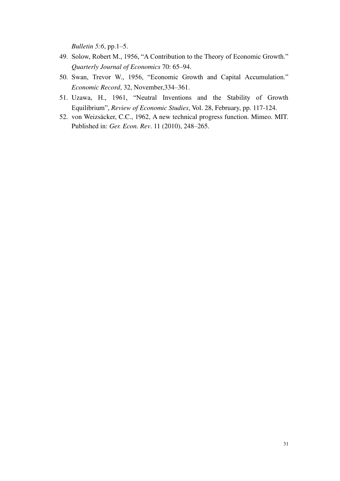*Bulletin 5:6*, pp.1–5.

- 49. Solow, Robert M., 1956, "A Contribution to the Theory of Economic Growth." *Quarterly Journal of Economics* 70: 65–94.
- 50. Swan, Trevor W., 1956, "Economic Growth and Capital Accumulation." *Economic Record*, 32, November,334–361.
- 51. Uzawa, H., 1961, "Neutral Inventions and the Stability of Growth Equilibrium", *Review of Economic Studies*, Vol. 28, February, pp. 117-124.
- 52. von Weizsäcker, C.C., 1962, A new technical progress function. Mimeo. MIT. Published in: *Ger. Econ. Rev*. 11 (2010), 248–265.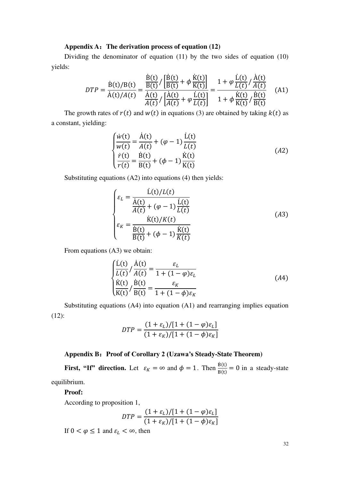#### **Appendix A**:**The derivation process of equation (12)**

Dividing the denominator of equation (11) by the two sides of equation (10) yields:

$$
DTP = \frac{\dot{B}(t)/B(t)}{\dot{A}(t)/A(t)} = \frac{\frac{\dot{B}(t)}{B(t)} / \left[\frac{\dot{B}(t)}{B(t)} + \phi \frac{\dot{K}(t)}{K(t)}\right]}{\frac{\dot{A}(t)}{A(t)} / \left[\frac{\dot{A}(t)}{A(t)} + \phi \frac{\dot{L}(t)}{L(t)}\right]} = \frac{1 + \phi \frac{\dot{L}(t)}{L(t)} / \frac{\dot{A}(t)}{A(t)}}{1 + \phi \frac{\dot{K}(t)}{K(t)} / \frac{\dot{B}(t)}{B(t)}} \quad (A1)
$$

The growth rates of  $r(t)$  and  $w(t)$  in equations (3) are obtained by taking  $k(t)$  as a constant, yielding:

$$
\begin{cases}\n\frac{\dot{w}(t)}{w(t)} = \frac{\dot{A}(t)}{A(t)} + (\varphi - 1) \frac{\dot{L}(t)}{L(t)} \\
\frac{\dot{r}(t)}{r(t)} = \frac{\dot{B}(t)}{B(t)} + (\varphi - 1) \frac{\dot{K}(t)}{K(t)}\n\end{cases}
$$
\n(A2)

Substituting equations (A2) into equations (4) then yields:

$$
\begin{cases}\n\varepsilon_L = \frac{\dot{L}(t)/L(t)}{\dot{A}(t)} \\
\varepsilon_R = \frac{\dot{K}(t)}{A(t)} + (\varphi - 1) \frac{\dot{L}(t)}{L(t)} \\
\varepsilon_R = \frac{\dot{K}(t)/K(t)}{\frac{\dot{B}(t)}{B(t)} + (\varphi - 1) \frac{\dot{K}(t)}{K(t)}}\n\end{cases} (A3)
$$

From equations (A3) we obtain:

$$
\begin{cases}\n\frac{\dot{L}(t)}{L(t)} / \frac{\dot{A}(t)}{A(t)} = \frac{\varepsilon_L}{1 + (1 - \varphi)\varepsilon_L} \\
\frac{\dot{K}(t)}{K(t)} / \frac{\dot{B}(t)}{B(t)} = \frac{\varepsilon_K}{1 + (1 - \varphi)\varepsilon_K}\n\end{cases} (A4)
$$

Substituting equations (A4) into equation (A1) and rearranging implies equation (12):

$$
DTP = \frac{(1+\varepsilon_L)/[1+(1-\varphi)\varepsilon_L]}{(1+\varepsilon_K)/[1+(1-\varphi)\varepsilon_K]}
$$

# **Appendix B**:**Proof of Corollary 2 (Uzawa's Steady-State Theorem)**

**First, "If" direction.** Let  $\varepsilon_K = \infty$  and  $\phi = 1$ . Then  $\frac{B(t)}{B(t)} = 0$  in a steady-state equilibrium.

#### **Proof:**

According to proposition 1,

$$
DTP = \frac{(1+\varepsilon_L)/[1+(1-\varphi)\varepsilon_L]}{(1+\varepsilon_K)/[1+(1-\varphi)\varepsilon_K]}
$$

If  $0 < \varphi \le 1$  and  $\varepsilon_L < \infty$ , then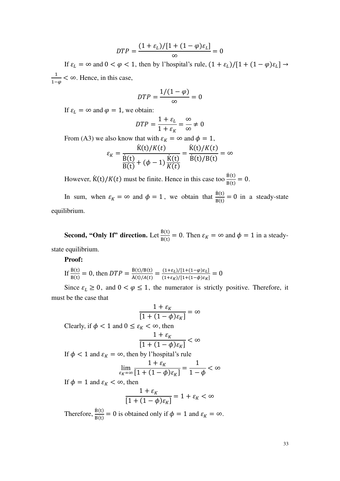$$
DTP = \frac{(1+\varepsilon_L)/[1+(1-\varphi)\varepsilon_L]}{\infty} = 0
$$

If  $\varepsilon_L = \infty$  and  $0 < \varphi < 1$ , then by l'hospital's rule,  $(1 + \varepsilon_L)/[1 + (1 - \varphi)\varepsilon_L] \rightarrow$ 1  $\frac{1}{1-\varphi}$  < ∞. Hence, in this case,

$$
DTP = \frac{1/(1-\varphi)}{\infty} = 0
$$

If  $\varepsilon_L = \infty$  and  $\varphi = 1$ , we obtain:

$$
DTP = \frac{1 + \varepsilon_L}{1 + \varepsilon_K} = \frac{\infty}{\infty} \neq 0
$$

From (A3) we also know that with  $\varepsilon_K = \infty$  and  $\phi = 1$ ,

$$
\varepsilon_K = \frac{\dot{K}(t)/K(t)}{\frac{\dot{B}(t)}{B(t)} + (\phi - 1)\frac{\dot{K}(t)}{K(t)}} = \frac{\dot{K}(t)/K(t)}{\dot{B}(t)/B(t)} = \infty
$$

However,  $\dot{K}(t)/K(t)$  must be finite. Hence in this case too  $\frac{B(t)}{B(t)} = 0$ .

In sum, when  $\varepsilon_K = \infty$  and  $\phi = 1$ , we obtain that  $\frac{B(t)}{B(t)} = 0$  in a steady-state equilibrium.

**Second, "Only If" direction.** Let  $\frac{B(t)}{B(t)} = 0$ . Then  $\varepsilon_K = \infty$  and  $\phi = 1$  in a steadystate equilibrium.

**Proof:** 

If 
$$
\frac{\dot{B}(t)}{B(t)} = 0
$$
, then  $DTP = \frac{\dot{B}(t)/B(t)}{\dot{A}(t)/A(t)} = \frac{(1+\varepsilon_L)/[1+(1-\phi)\varepsilon_L]}{(1+\varepsilon_K)/[1+(1-\phi)\varepsilon_K]} = 0$ 

Since  $\varepsilon_L \geq 0$ , and  $0 < \varphi \leq 1$ , the numerator is strictly positive. Therefore, it must be the case that

$$
\frac{1+\varepsilon_K}{[1+(1-\phi)\varepsilon_K]}=\infty
$$

Clearly, if  $\phi < 1$  and  $0 \le \varepsilon_K < \infty$ , then

$$
\frac{1+\varepsilon_K}{[1+(1-\phi)\varepsilon_K]} < \infty
$$

If  $\phi$  < 1 and  $\varepsilon_K = \infty$ , then by l'hospital's rule

$$
\lim_{\varepsilon_K = \infty} \frac{1 + \varepsilon_K}{[1 + (1 - \phi)\varepsilon_K]} = \frac{1}{1 - \phi} < \infty
$$

If  $\phi = 1$  and  $\varepsilon_K < \infty$ , then

$$
\frac{1+\varepsilon_K}{[1+(1-\phi)\varepsilon_K]} = 1+\varepsilon_K < \infty
$$

Therefore,  $\frac{\dot{B}(t)}{B(t)} = 0$  is obtained only if  $\phi = 1$  and  $\varepsilon_K = \infty$ .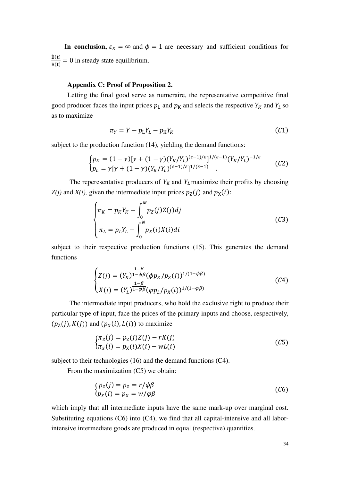**In conclusion,**  $\varepsilon_K = \infty$  and  $\phi = 1$  are necessary and sufficient conditions for  $\underline{B}(t)$  $\frac{B(t)}{B(t)} = 0$  in steady state equilibrium.

# **Appendix C: Proof of Proposition 2.**

Letting the final good serve as numeraire, the representative competitive final good producer faces the input prices  $p_L$  and  $p_R$  and selects the respective  $Y_R$  and  $Y_L$  so as to maximize

$$
\pi_Y = Y - p_L Y_L - p_K Y_K \tag{C1}
$$

subject to the production function (14), yielding the demand functions:

$$
\begin{cases} p_K = (1 - \gamma)[\gamma + (1 - \gamma)(Y_K/Y_L)^{(\varepsilon - 1)/\varepsilon}]^{1/(\varepsilon - 1)} (Y_K/Y_L)^{-1/\varepsilon} \\ p_L = \gamma[\gamma + (1 - \gamma)(Y_K/Y_L)^{(\varepsilon - 1)/\varepsilon}]^{1/(\varepsilon - 1)} \end{cases} (C2)
$$

The reperesentative producers of  $Y_K$  and  $Y_L$  maximize their profits by choosing  $Z(j)$  and  $X(i)$ , given the intermediate input prices  $p_Z(j)$  and  $p_X(i)$ :

$$
\begin{cases} \pi_K = p_K Y_K - \int_0^M p_Z(j) Z(j) dj \\ \pi_L = p_L Y_L - \int_0^N p_X(i) X(i) di \end{cases} \tag{C3}
$$

subject to their respective production functions (15). This generates the demand functions

$$
\begin{cases}\nZ(j) = (Y_K)^{\frac{1-\beta}{1-\phi\beta}} (\phi p_K/p_Z(j))^{1/(1-\phi\beta)} \\
X(i) = (Y_L)^{\frac{1-\beta}{1-\phi\beta}} (\phi p_L/p_X(i))^{1/(1-\phi\beta)}\n\end{cases} \tag{C4}
$$

The intermediate input producers, who hold the exclusive right to produce their particular type of input, face the prices of the primary inputs and choose, respectively,  $(p_Z(j), K(j))$  and  $(p_X(i), L(i))$  to maximize

$$
\begin{aligned} \n\{\pi_Z(j) &= p_Z(j)Z(j) - rK(j) \\ \n\pi_X(i) &= p_X(i)X(i) - wL(i) \n\end{aligned} \tag{C5}
$$

subject to their technologies (16) and the demand functions (C4).

From the maximization (C5) we obtain:

$$
\begin{aligned} \n\{\mathbf{p}_Z(j) &= \mathbf{p}_Z = r/\phi\beta \\ \n\mathbf{p}_X(i) &= \mathbf{p}_X = w/\phi\beta \n\end{aligned} \tag{C6}
$$

which imply that all intermediate inputs have the same mark-up over marginal cost. Substituting equations  $(C6)$  into  $(C4)$ , we find that all capital-intensive and all laborintensive intermediate goods are produced in equal (respective) quantities.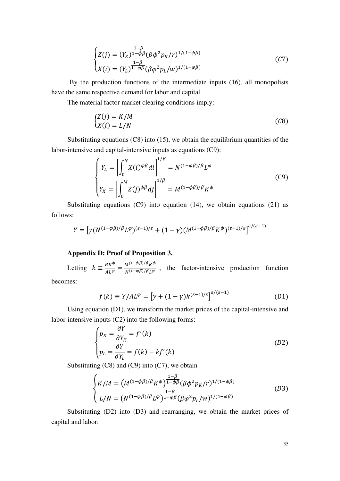$$
\begin{cases}\nZ(j) = (Y_K)^{\frac{1-\beta}{1-\phi\beta}} (\beta \phi^2 p_K/r)^{1/(1-\phi\beta)} \\
X(i) = (Y_L)^{\frac{1-\beta}{1-\phi\beta}} (\beta \phi^2 p_L/w)^{1/(1-\phi\beta)}\n\end{cases} \tag{C7}
$$

By the production functions of the intermediate inputs (16), all monopolists have the same respective demand for labor and capital.

The material factor market clearing conditions imply:

$$
\begin{aligned} \n\zeta Z(j) &= K/M\\ \n\zeta(i) &= L/N \n\end{aligned} \tag{C8}
$$

Substituting equations (C8) into (15), we obtain the equilibrium quantities of the labor-intensive and capital-intensive inputs as equations (C9):

$$
\begin{cases}\nY_L = \left[\int_0^N X(i)^{\varphi\beta} di\right]^{1/\beta} = N^{(1-\varphi\beta)/\beta} L^{\varphi} \\
Y_K = \left[\int_0^M Z(j)^{\varphi\beta} dj\right]^{1/\beta} = M^{(1-\varphi\beta)/\beta} K^{\varphi}\n\end{cases} \tag{C9}
$$

Substituting equations  $(C9)$  into equation (14), we obtain equations (21) as follows:

$$
Y = \left[ \gamma (N^{(1-\varphi\beta)/\beta} L^{\varphi})^{(\varepsilon-1)/\varepsilon} + (1-\gamma) (M^{(1-\varphi\beta)/\beta} K^{\varphi})^{(\varepsilon-1)/\varepsilon} \right]^{\varepsilon/(\varepsilon-1)}
$$

# **Appendix D: Proof of Proposition 3.**

Letting  $k \equiv \frac{BK^{\phi}}{AL^{\phi}} = \frac{M^{(1-\phi\beta)/\beta}K^{\phi}}{N^{(1-\phi\beta)/\beta}L^{\phi}}$  $\frac{M_1 + M_2 + M_3}{N(1-\varphi\beta)/\beta_L\varphi}$ , the factor-intensive production function

becomes:

$$
f(k) \equiv Y/AL^{\varphi} = \left[\gamma + (1 - \gamma)k^{(\varepsilon - 1)/\varepsilon}\right]^{\varepsilon/(\varepsilon - 1)}
$$
(D1)

Using equation (D1), we transform the market prices of the capital-intensive and labor-intensive inputs (C2) into the following forms:

$$
\begin{cases}\np_K = \frac{\partial Y}{\partial Y_K} = f'(k) \\
p_L = \frac{\partial Y}{\partial Y_L} = f(k) - kf'(k)\n\end{cases}
$$
\n(D2)

Substituting  $(C8)$  and  $(C9)$  into  $(C7)$ , we obtain

$$
\begin{cases}\nK/M = \left(M^{(1-\phi\beta)/\beta} K^{\phi}\right)^{\frac{1-\beta}{1-\phi\beta}} (\beta \phi^2 p_K/r)^{1/(1-\phi\beta)} \\
L/N = \left(N^{(1-\phi\beta)/\beta} L^{\varphi}\right)^{\frac{1-\beta}{1-\phi\beta}} (\beta \phi^2 p_L/w)^{1/(1-\phi\beta)}\n\end{cases} (D3)
$$

Substituting (D2) into (D3) and rearranging, we obtain the market prices of capital and labor: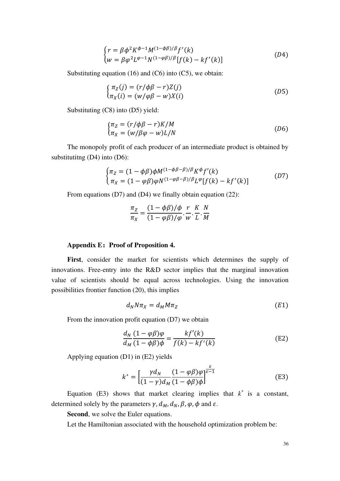$$
\begin{cases}\nr = \beta \phi^2 K^{\phi - 1} M^{(1 - \phi \beta)/\beta} f'(k) \\
w = \beta \phi^2 L^{\phi - 1} N^{(1 - \phi \beta)/\beta} [f(k) - kf'(k)]\n\end{cases} (D4)
$$

Substituting equation (16) and (C6) into (C5), we obtain:

$$
\begin{cases}\n\pi_Z(j) = (r/\phi\beta - r)Z(j) \\
\pi_X(i) = (w/\phi\beta - w)X(i)\n\end{cases}
$$
\n(D5)

Substituting (C8) into (D5) yield:

$$
\begin{aligned} \n\int_{\pi_Z} \nabla \cdot (r/\phi \beta - r) K / M \\ \n\pi_X &= (w/\beta \varphi - w) L / N \n\end{aligned} \tag{D6}
$$

The monopoly profit of each producer of an intermediate product is obtained by substitutitng (D4) into (D6):

$$
\begin{cases} \pi_Z = (1 - \phi \beta) \phi M^{(1 - \phi \beta - \beta)/\beta} K^{\phi} f'(k) \\ \pi_X = (1 - \phi \beta) \phi N^{(1 - \phi \beta - \beta)/\beta} L^{\phi} [f(k) - kf'(k)] \end{cases}
$$
 (D7)

From equations (D7) and (D4) we finally obtain equation (22):

$$
\frac{\pi_Z}{\pi_X} = \frac{(1 - \phi \beta)/\phi}{(1 - \phi \beta)/\phi} \cdot \frac{r}{w} \cdot \frac{K}{L} \cdot \frac{N}{M}
$$

#### **Appendix E:Proof of Proposition 4.**

First, consider the market for scientists which determines the supply of innovations. Free-entry into the R&D sector implies that the marginal innovation value of scientists should be equal across technologies. Using the innovation possibilities frontier function (20), this implies

$$
d_N N \pi_X = d_M M \pi_Z \tag{E1}
$$

From the innovation profit equation (D7) we obtain

$$
\frac{d_N}{d_M} \frac{(1 - \varphi \beta)\varphi}{(1 - \varphi \beta)\varphi} = \frac{k f'(k)}{f(k) - k f'(k)}
$$
(E2)

Applying equation (D1) in (E2) yields

$$
k^* = \left[\frac{\gamma d_N}{(1-\gamma)d_M}\frac{(1-\varphi\beta)\varphi}{(1-\varphi\beta)\varphi}\right]^{\frac{\varepsilon}{\varepsilon-1}}
$$
(E3)

Equation (E3) shows that market clearing implies that  $k^*$  is a constant, determined solely by the parameters  $\gamma$ ,  $d_M$ ,  $d_N$ ,  $\beta$ ,  $\varphi$ ,  $\phi$  and  $\varepsilon$ .

**Second**, we solve the Euler equations.

Let the Hamiltonian associated with the household optimization problem be: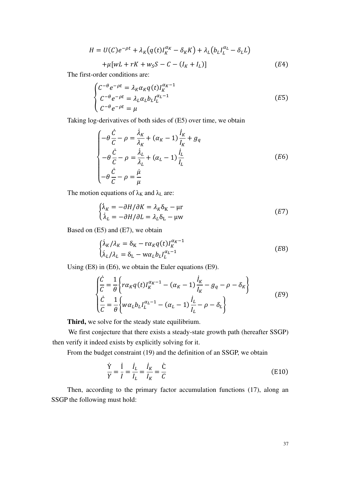$$
H = U(C)e^{-\rho t} + \lambda_K (q(t)I_K^{\alpha_K} - \delta_K K) + \lambda_L (b_L I_L^{\alpha_L} - \delta_L L)
$$
  
+  $\mu [wL + rK + w_S S - C - (I_K + I_L)]$  (E4)

The first-order conditions are:

$$
\begin{cases}\nC^{-\theta}e^{-\rho t} = \lambda_K \alpha_K q(t) I_K^{\alpha_K - 1} \\
C^{-\theta}e^{-\rho t} = \lambda_L \alpha_L b_L I_L^{\alpha_L - 1} \\
C^{-\theta}e^{-\rho t} = \mu\n\end{cases}
$$
\n(E5)

Taking log-derivatives of both sides of (E5) over time, we obtain

$$
\begin{cases}\n-\theta \frac{\dot{C}}{C} - \rho = \frac{\dot{\lambda}_K}{\lambda_K} + (\alpha_K - 1) \frac{\dot{I}_K}{I_K} + g_q \\
-\theta \frac{\dot{C}}{C} - \rho = \frac{\dot{\lambda}_L}{\lambda_L} + (\alpha_L - 1) \frac{\dot{I}_L}{I_L} \\
-\theta \frac{\dot{C}}{C} - \rho = \frac{\dot{\mu}}{\mu}\n\end{cases}
$$
\n(E6)

The motion equations of  $\lambda_K$  and  $\lambda_L$  are:

$$
\begin{cases}\n\dot{\lambda}_K = -\partial H/\partial K = \lambda_K \delta_K - \mu r \\
\dot{\lambda}_L = -\partial H/\partial L = \lambda_L \delta_L - \mu w\n\end{cases}
$$
\n(E7)

Based on (E5) and (E7), we obtain

$$
\begin{cases}\n\dot{\lambda}_K / \lambda_K = \delta_K - r \alpha_K q(t) I_K^{\alpha_K - 1} \\
\dot{\lambda}_L / \lambda_L = \delta_L - w \alpha_L b_L I_L^{\alpha_L - 1}\n\end{cases}
$$
\n(E8)

Using (E8) in (E6), we obtain the Euler equations (E9).

$$
\begin{cases}\n\frac{\dot{C}}{C} = \frac{1}{\theta} \left\{ r \alpha_K q(t) I_K^{\alpha_K - 1} - (\alpha_K - 1) \frac{\dot{I}_K}{I_K} - g_q - \rho - \delta_K \right\} \\
\frac{\dot{C}}{C} = \frac{1}{\theta} \left\{ w \alpha_L b_L I_L^{\alpha_L - 1} - (\alpha_L - 1) \frac{\dot{I}_L}{I_L} - \rho - \delta_L \right\}\n\end{cases}
$$
\n(E9)

**Third,** we solve for the steady state equilibrium.

We first conjecture that there exists a steady-state growth path (hereafter SSGP) then verify it indeed exists by explicitly solving for it.

From the budget constraint (19) and the definition of an SSGP, we obtain

$$
\frac{\dot{Y}}{Y} = \frac{\dot{I}}{I} = \frac{\dot{I}_L}{I_L} = \frac{\dot{I}_K}{I_K} = \frac{\dot{C}}{C}
$$
\n(E10)

Then, according to the primary factor accumulation functions (17), along an SSGP the following must hold: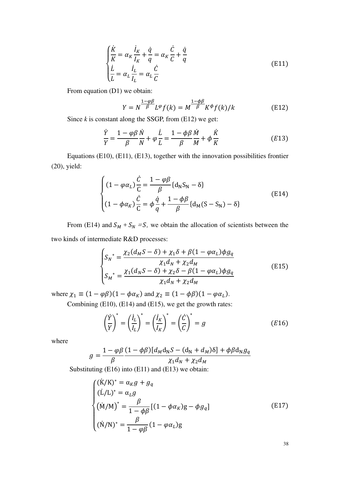$$
\begin{cases}\n\frac{\dot{K}}{K} = \alpha_K \frac{\dot{I}_K}{I_K} + \frac{\dot{q}}{q} = \alpha_K \frac{\dot{C}}{C} + \frac{\dot{q}}{q} \\
\frac{\dot{L}}{L} = \alpha_L \frac{\dot{I}_L}{I_L} = \alpha_L \frac{\dot{C}}{C}\n\end{cases}
$$
\n(E11)

From equation (D1) we obtain:

$$
Y = N^{\frac{1-\varphi\beta}{\beta}}L^{\varphi}f(k) = M^{\frac{1-\varphi\beta}{\beta}}K^{\varphi}f(k)/k
$$
 (E12)

Since *k* is constant along the SSGP, from (E12) we get:

$$
\frac{\dot{Y}}{Y} = \frac{1 - \varphi \beta}{\beta} \frac{\dot{N}}{N} + \varphi \frac{\dot{L}}{L} = \frac{1 - \varphi \beta}{\beta} \frac{\dot{M}}{M} + \varphi \frac{\dot{K}}{K}
$$
(E13)

Equations (E10), (E11), (E13), together with the innovation possibilities frontier (20), yield:

$$
\begin{cases}\n(1 - \varphi \alpha_L) \frac{\dot{C}}{C} = \frac{1 - \varphi \beta}{\beta} \{d_N S_N - \delta\} \\
(1 - \varphi \alpha_K) \frac{\dot{C}}{C} = \varphi \frac{\dot{q}}{q} + \frac{1 - \varphi \beta}{\beta} \{d_M (S - S_N) - \delta\}\n\end{cases}
$$
\n(E14)

From (E14) and  $S_M + S_N = S$ , we obtain the allocation of scientists between the two kinds of intermediate R&D processes:

$$
\begin{cases}\nS_N^* = \frac{\chi_2(d_M S - \delta) + \chi_1 \delta + \beta (1 - \varphi \alpha_L) \phi g_q}{\chi_1 d_N + \chi_2 d_M} \\
S_M^* = \frac{\chi_1(d_N S - \delta) + \chi_2 \delta - \beta (1 - \varphi \alpha_L) \phi g_q}{\chi_1 d_N + \chi_2 d_M}\n\end{cases} \tag{E15}
$$

where  $\chi_1 \equiv (1 - \varphi \beta)(1 - \varphi \alpha_K)$  and  $\chi_2 \equiv (1 - \varphi \beta)(1 - \varphi \alpha_L)$ .

Combining (E10), (E14) and (E15), we get the growth rates:

$$
\left(\frac{\dot{Y}}{Y}\right)^{*} = \left(\frac{\dot{I}_L}{I_L}\right)^{*} = \left(\frac{\dot{I}_K}{I_K}\right)^{*} = \left(\frac{\dot{C}}{C}\right)^{*} = g
$$
\n(E16)

where

$$
g = \frac{1 - \varphi \beta (1 - \phi \beta)[d_M d_N S - (d_N + d_M) \delta] + \varphi \beta d_N g_q}{\beta} \frac{\chi_1 d_N + \chi_2 d_M}{\chi_1 d_N + \chi_2 d_M}
$$

Substituting (E16) into (E11) and (E13) we obtain:

$$
\begin{cases}\n(\dot{K}/K)^{*} = \alpha_{K}g + g_{q} \\
(\dot{L}/L)^{*} = \alpha_{L}g \\
(\dot{M}/M)^{*} = \frac{\beta}{1 - \phi\beta}[(1 - \phi\alpha_{K})g - \phi g_{q}] \\
(\dot{N}/N)^{*} = \frac{\beta}{1 - \phi\beta}(1 - \phi\alpha_{L})g\n\end{cases}
$$
\n(E17)

38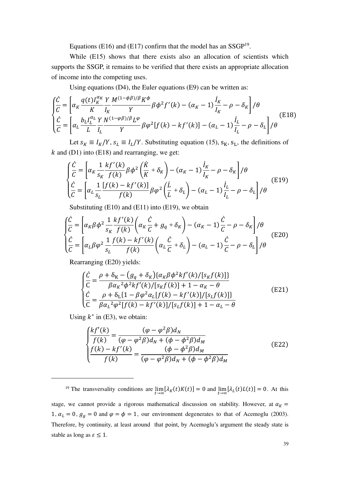Equations (E16) and (E17) confirm that the model has an  $SSGP<sup>19</sup>$ .

While (E15) shows that there exists also an allocation of scientists which supports the SSGP, it remains to be verified that there exists an appropriate allocation of income into the competing uses.

Using equations (D4), the Euler equations (E9) can be written as:

$$
\begin{cases}\n\frac{\dot{C}}{C} = \left[ \alpha_K \frac{q(t)I_K^{\alpha_K}}{K} \frac{Y}{I_K} \frac{M^{(1-\phi\beta)/\beta} K^{\phi}}{Y} \beta \phi^2 f'(k) - (\alpha_K - 1) \frac{\dot{I}_K}{I_K} - \rho - \delta_K \right] / \theta \\
\frac{\dot{C}}{C} = \left[ \alpha_L \frac{b_L I_L^{\alpha_L}}{L} \frac{Y}{I_L} \frac{N^{(1-\phi\beta)/\beta} L^{\phi}}{Y} \beta \phi^2 [f(k) - kf'(k)] - (\alpha_L - 1) \frac{\dot{I}_L}{I_L} - \rho - \delta_L \right] / \theta\n\end{cases}
$$
(E18)

Let  $s_K \equiv I_K/Y$ ,  $s_L \equiv I_L/Y$ . Substituting equation (15),  $s_K$ ,  $s_L$ , the definitions of  $k$  and (D1) into (E18) and rearranging, we get:

$$
\begin{cases}\n\frac{\dot{C}}{C} = \left[ \alpha_K \frac{1}{s_K} \frac{k f'(k)}{f(k)} \beta \phi^2 \left( \frac{\dot{K}}{K} + \delta_K \right) - (\alpha_K - 1) \frac{\dot{I}_K}{I_K} - \rho - \delta_K \right] / \theta \\
\frac{\dot{C}}{C} = \left[ \alpha_L \frac{1}{s_L} \frac{[f(k) - kf'(k)]}{f(k)} \beta \phi^2 \left( \frac{\dot{L}}{L} + \delta_L \right) - (\alpha_L - 1) \frac{\dot{I}_L}{I_L} - \rho - \delta_L \right] / \theta\n\end{cases}
$$
(E19)

Substituting  $(E10)$  and  $(E11)$  into  $(E19)$ , we obtain

$$
\begin{cases}\n\frac{\dot{C}}{C} = \left[ \alpha_K \beta \phi^2 \frac{1}{s_K} \frac{k f'(k)}{f(k)} \left( \alpha_K \frac{\dot{C}}{C} + g_q + \delta_K \right) - (\alpha_K - 1) \frac{\dot{C}}{C} - \rho - \delta_K \right] / \theta \\
\frac{\dot{C}}{C} = \left[ \alpha_L \beta \phi^2 \frac{1}{s_L} \frac{f(k) - k f'(k)}{f(k)} \left( \alpha_L \frac{\dot{C}}{C} + \delta_L \right) - (\alpha_L - 1) \frac{\dot{C}}{C} - \rho - \delta_L \right] / \theta\n\end{cases}
$$
(E20)

Rearranging (E20) yields:

$$
\begin{cases}\n\frac{\dot{C}}{C} = \frac{\rho + \delta_{K} - (g_{q} + \delta_{K}) \{ \alpha_{K} \beta \phi^{2} k f'(k) / [s_{K} f(k)] \}}{\beta \alpha_{K}^{2} \phi^{2} k f'(k) / [s_{K} f(k)] + 1 - \alpha_{K} - \theta} \\
\frac{\dot{C}}{C} = \frac{\rho + \delta_{L} \{ 1 - \beta \phi^{2} \alpha_{L} [f(k) - k f'(k)] / [s_{L} f(k)] \}}{\beta \alpha_{L}^{2} \phi^{2} [f(k) - k f'(k)] / [s_{L} f(k)] + 1 - \alpha_{L} - \theta}\n\end{cases}
$$
\n(E21)

Using  $k^*$  in (E3), we obtain:

$$
\begin{cases}\n\frac{k f'(k)}{f(k)} = \frac{(\varphi - \varphi^2 \beta) d_N}{(\varphi - \varphi^2 \beta) d_N + (\varphi - \varphi^2 \beta) d_M} \\
\frac{f(k) - k f'(k)}{f(k)} = \frac{(\varphi - \varphi^2 \beta) d_M}{(\varphi - \varphi^2 \beta) d_N + (\varphi - \varphi^2 \beta) d_M}\n\end{cases} (E22)
$$

<sup>19</sup> The transversality conditions are  $\lim_{t\to\infty} [\lambda_K(t)K(t)] = 0$  and  $\lim_{t\to\infty} [\lambda_L(t)L(t)] = 0$ . At this

stage, we cannot provide a rigorous mathematical discussion on stability. However, at  $\alpha_K =$ 1,  $\alpha_L = 0$ ,  $g_g = 0$  and  $\varphi = \varphi = 1$ , our environment degenerates to that of Acemoglu (2003). Therefore, by continuity, at least around that point, by Acemoglu's argument the steady state is stable as long as  $\varepsilon \leq 1$ .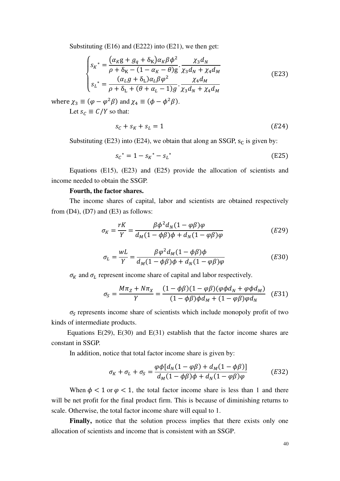Substituting (E16) and (E222) into (E21), we then get:

$$
\begin{cases}\ns_K^* = \frac{(\alpha_K g + g_q + \delta_K)\alpha_K \beta \phi^2}{\rho + \delta_K - (1 - \alpha_K - \theta)g} \cdot \frac{\chi_3 d_N}{\chi_3 d_N + \chi_4 d_M} \\
s_L^* = \frac{(\alpha_L g + \delta_L)\alpha_L \beta \phi^2}{\rho + \delta_L + (\theta + \alpha_L - 1)g} \cdot \frac{\chi_4 d_M}{\chi_3 d_N + \chi_4 d_M}\n\end{cases} \tag{E23}
$$

where  $\chi_3 \equiv (\varphi - \varphi^2 \beta)$  and  $\chi_4 \equiv (\varphi - \varphi^2 \beta)$ .

Let  $s_c \equiv C/Y$  so that:

$$
s_c + s_K + s_L = 1 \tag{E24}
$$

Substituting (E23) into (E24), we obtain that along an SSGP,  $s_c$  is given by:

$$
s_{\mathcal{C}}^* = 1 - s_{K}^* - s_{L}^* \tag{E25}
$$

Equations (E15), (E23) and (E25) provide the allocation of scientists and income needed to obtain the SSGP.

## **Fourth, the factor shares.**

The income shares of capital, labor and scientists are obtained respectively from  $(D4)$ ,  $(D7)$  and  $(E3)$  as follows:

$$
\sigma_K = \frac{rK}{Y} = \frac{\beta \phi^2 d_N (1 - \varphi \beta) \varphi}{d_M (1 - \phi \beta) \phi + d_N (1 - \varphi \beta) \varphi}
$$
(E29)

$$
\sigma_L = \frac{wL}{Y} = \frac{\beta \varphi^2 d_M (1 - \phi \beta) \phi}{d_M (1 - \phi \beta) \phi + d_N (1 - \varphi \beta) \varphi}
$$
(E30)

 $\sigma_K$  and  $\sigma_L$  represent income share of capital and labor respectively.

$$
\sigma_S = \frac{M\pi_Z + N\pi_X}{Y} = \frac{(1 - \phi\beta)(1 - \phi\beta)(\phi\phi d_N + \phi\phi d_M)}{(1 - \phi\beta)\phi d_M + (1 - \phi\beta)\phi d_N} \quad (E31)
$$

 $\sigma_S$  represents income share of scientists which include monopoly profit of two kinds of intermediate products.

Equations E(29), E(30) and E(31) establish that the factor income shares are constant in SSGP.

In addition, notice that total factor income share is given by:

$$
\sigma_K + \sigma_L + \sigma_S = \frac{\varphi \phi [d_N(1 - \varphi \beta) + d_M(1 - \varphi \beta)]}{d_M(1 - \varphi \beta)\phi + d_N(1 - \varphi \beta)\varphi}
$$
(E32)

When  $\phi < 1$  or  $\varphi < 1$ , the total factor income share is less than 1 and there will be net profit for the final product firm. This is because of diminishing returns to scale. Otherwise, the total factor income share will equal to 1.

Finally, notice that the solution process implies that there exists only one allocation of scientists and income that is consistent with an SSGP.